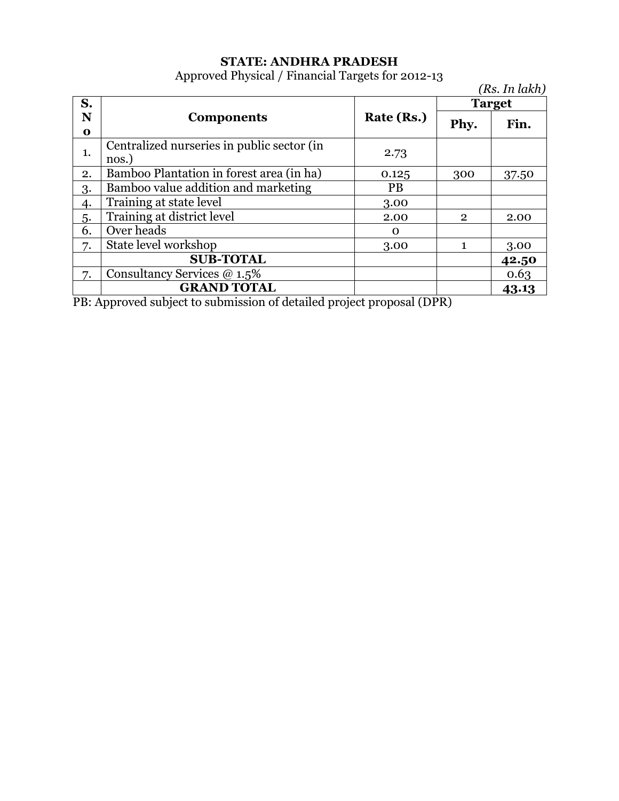# **STATE: ANDHRA PRADESH**

Approved Physical / Financial Targets for 2012-13

*(Rs. In lakh)* **S. N o Components Rate (Rs.) Target** Phy. Fin. 1. Centralized nurseries in public sector (in nos.) 2.73 2. Bamboo Plantation in forest area (in ha) 0.125 300 37.50 3. Bamboo value addition and marketing PB 4. Training at state level 3.00 5. Training at district level 2.00 2.00 2 2.00  $\overline{6}$ . Over heads  $\overline{0}$ 7. State level workshop 3.00 1 3.00 **SUB-TOTAL 42.50** 7. Consultancy Services @ 1.5% 0.63 **GRAND TOTAL 43.13**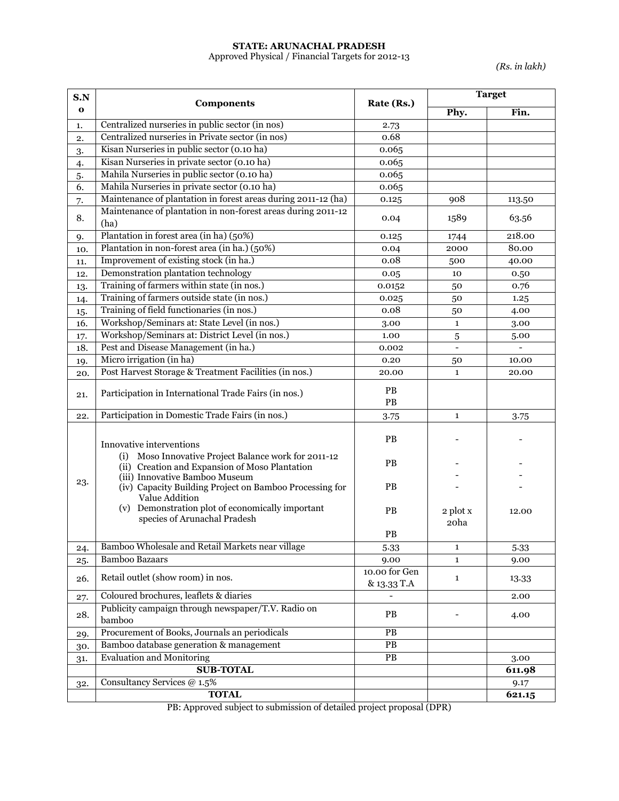## **STATE: ARUNACHAL PRADESH**

Approved Physical / Financial Targets for 2012-13

*(Rs. in lakh)*

| S.N         |                                                                                                                                                               | Rate (Rs.)                   | <b>Target</b>    |        |
|-------------|---------------------------------------------------------------------------------------------------------------------------------------------------------------|------------------------------|------------------|--------|
| $\mathbf 0$ | <b>Components</b>                                                                                                                                             |                              | Phy.             | Fin.   |
| 1.          | Centralized nurseries in public sector (in nos)                                                                                                               | 2.73                         |                  |        |
| 2.          | Centralized nurseries in Private sector (in nos)                                                                                                              | 0.68                         |                  |        |
| 3.          | Kisan Nurseries in public sector (0.10 ha)                                                                                                                    | 0.065                        |                  |        |
| 4.          | Kisan Nurseries in private sector (0.10 ha)                                                                                                                   | 0.065                        |                  |        |
| 5.          | Mahila Nurseries in public sector (0.10 ha)                                                                                                                   | 0.065                        |                  |        |
| 6.          | Mahila Nurseries in private sector (0.10 ha)                                                                                                                  | 0.065                        |                  |        |
| 7.          | Maintenance of plantation in forest areas during 2011-12 (ha)                                                                                                 | 0.125                        | 908              | 113.50 |
| 8.          | Maintenance of plantation in non-forest areas during 2011-12<br>(ha)                                                                                          | 0.04                         | 1589             | 63.56  |
| 9.          | Plantation in forest area (in ha) (50%)                                                                                                                       | 0.125                        | 1744             | 218.00 |
| 10.         | Plantation in non-forest area (in ha.) (50%)                                                                                                                  | 0.04                         | 2000             | 80.00  |
| 11.         | Improvement of existing stock (in ha.)                                                                                                                        | 0.08                         | 500              | 40.00  |
| 12.         | Demonstration plantation technology                                                                                                                           | 0.05                         | 10               | 0.50   |
| 13.         | Training of farmers within state (in nos.)                                                                                                                    | 0.0152                       | 50               | 0.76   |
| 14.         | Training of farmers outside state (in nos.)                                                                                                                   | 0.025                        | 50               | 1.25   |
| 15.         | Training of field functionaries (in nos.)                                                                                                                     | 0.08                         | 50               | 4.00   |
| 16.         | Workshop/Seminars at: State Level (in nos.)                                                                                                                   | 3.00                         | $\mathbf{1}$     | 3.00   |
| 17.         | Workshop/Seminars at: District Level (in nos.)                                                                                                                | 1.00                         | 5                | 5.00   |
| 18.         | Pest and Disease Management (in ha.)                                                                                                                          | 0.002                        |                  |        |
| 19.         | Micro irrigation (in ha)                                                                                                                                      | 0.20                         | 50               | 10.00  |
| 20.         | Post Harvest Storage & Treatment Facilities (in nos.)                                                                                                         | 20.00                        | $\mathbf{1}$     | 20.00  |
| 21.         | Participation in International Trade Fairs (in nos.)                                                                                                          | PB<br>PB                     |                  |        |
| 22.         | Participation in Domestic Trade Fairs (in nos.)                                                                                                               | 3.75                         | $\mathbf{1}$     | 3.75   |
|             | Innovative interventions<br>(i) Moso Innovative Project Balance work for 2011-12                                                                              | <b>PB</b>                    |                  |        |
| 23.         | (ii) Creation and Expansion of Moso Plantation<br>(iii) Innovative Bamboo Museum<br>(iv) Capacity Building Project on Bamboo Processing for<br>Value Addition | <b>PB</b><br><b>PB</b>       |                  |        |
|             | (v) Demonstration plot of economically important<br>species of Arunachal Pradesh                                                                              | <b>PB</b>                    | 2 plot x<br>20ha | 12.00  |
|             |                                                                                                                                                               | PB                           |                  |        |
| 24.         | Bamboo Wholesale and Retail Markets near village                                                                                                              | 5.33                         | 1                | 5.33   |
| 25.         | <b>Bamboo Bazaars</b>                                                                                                                                         | 9.00                         | $\mathbf{1}$     | 9.00   |
| 26.         | Retail outlet (show room) in nos.                                                                                                                             | 10.00 for Gen<br>& 13.33 T.A | $\mathbf{1}$     | 13.33  |
| 27.         | Coloured brochures, leaflets & diaries                                                                                                                        |                              |                  | 2.00   |
| 28.         | Publicity campaign through newspaper/T.V. Radio on<br>bamboo                                                                                                  | PB                           |                  | 4.00   |
| 29.         | Procurement of Books, Journals an periodicals                                                                                                                 | PB                           |                  |        |
| 30.         | Bamboo database generation & management                                                                                                                       | $\overline{PB}$              |                  |        |
| 31.         | <b>Evaluation and Monitoring</b>                                                                                                                              | PB                           |                  | 3.00   |
|             | <b>SUB-TOTAL</b>                                                                                                                                              |                              |                  | 611.98 |
| 32.         | Consultancy Services @ 1.5%                                                                                                                                   |                              |                  | 9.17   |
|             | <b>TOTAL</b>                                                                                                                                                  |                              |                  | 621.15 |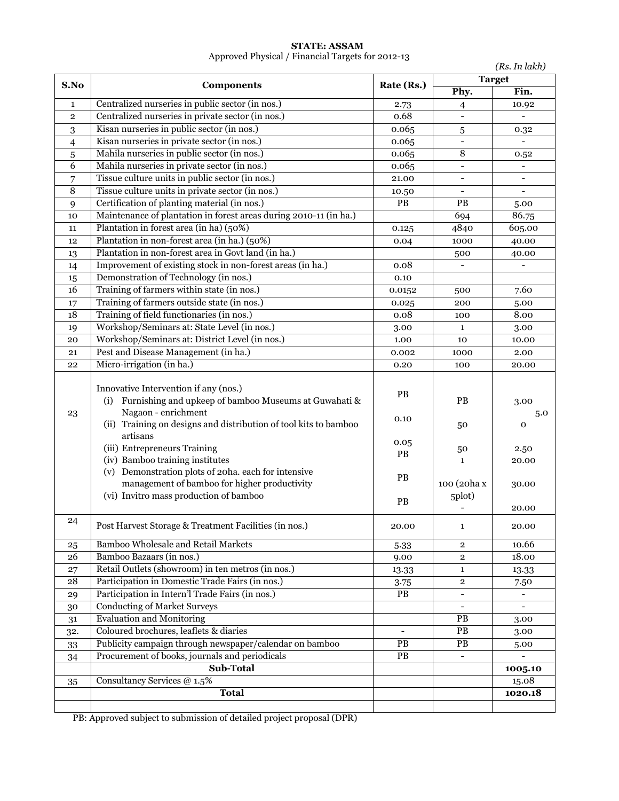|                |                                                                                                                                                                                                  |                  |                                       | (Rs. In lakh)            |
|----------------|--------------------------------------------------------------------------------------------------------------------------------------------------------------------------------------------------|------------------|---------------------------------------|--------------------------|
| S.No           | <b>Components</b>                                                                                                                                                                                | Rate (Rs.)       |                                       | <b>Target</b>            |
|                |                                                                                                                                                                                                  |                  | Phy.                                  | Fin.                     |
| 1              | Centralized nurseries in public sector (in nos.)                                                                                                                                                 | 2.73             | $\overline{4}$                        | 10.92                    |
| $\overline{2}$ | Centralized nurseries in private sector (in nos.)                                                                                                                                                | 0.68             | $\overline{\phantom{0}}$              |                          |
| 3              | Kisan nurseries in public sector (in nos.)                                                                                                                                                       | 0.065            | 5                                     | 0.32                     |
| 4              | Kisan nurseries in private sector (in nos.)                                                                                                                                                      | 0.065            | $\qquad \qquad -$                     | $\overline{\phantom{a}}$ |
| 5              | Mahila nurseries in public sector (in nos.)                                                                                                                                                      | 0.065            | 8                                     | 0.52                     |
| 6              | Mahila nurseries in private sector (in nos.)                                                                                                                                                     | 0.065            | $\overline{\phantom{0}}$              | $\overline{\phantom{a}}$ |
| 7              | Tissue culture units in public sector (in nos.)                                                                                                                                                  | 21.00            | $\overline{a}$                        | $\blacksquare$           |
| 8              | Tissue culture units in private sector (in nos.)                                                                                                                                                 | 10.50            | $\overline{a}$                        | $\overline{a}$           |
| 9              | Certification of planting material (in nos.)                                                                                                                                                     | $\overline{PB}$  | PB                                    | 5.00                     |
| 10             | Maintenance of plantation in forest areas during 2010-11 (in ha.)                                                                                                                                |                  | 694                                   | 86.75                    |
| 11             | Plantation in forest area (in ha) (50%)                                                                                                                                                          | 0.125            | 4840                                  | 605.00                   |
| 12             | Plantation in non-forest area (in ha.) (50%)                                                                                                                                                     | 0.04             | 1000                                  | 40.00                    |
| 13             | Plantation in non-forest area in Govt land (in ha.)                                                                                                                                              |                  | 500                                   | 40.00                    |
| 14             | Improvement of existing stock in non-forest areas (in ha.)                                                                                                                                       | 0.08             |                                       |                          |
| 15             | Demonstration of Technology (in nos.)                                                                                                                                                            | 0.10             |                                       |                          |
| 16             | Training of farmers within state (in nos.)                                                                                                                                                       | 0.0152           | 500                                   | 7.60                     |
| 17             | Training of farmers outside state (in nos.)                                                                                                                                                      | 0.025            | 200                                   | 5.00                     |
| 18             | Training of field functionaries (in nos.)                                                                                                                                                        | 0.08             | 100                                   | 8.00                     |
| 19             | Workshop/Seminars at: State Level (in nos.)                                                                                                                                                      | 3.00             | $\mathbf{1}$                          | 3.00                     |
| 20             | Workshop/Seminars at: District Level (in nos.)                                                                                                                                                   | 1.00             | 10                                    | 10.00                    |
| 21             | Pest and Disease Management (in ha.)                                                                                                                                                             | 0.002            | 1000                                  | 2.00                     |
| 22             | Micro-irrigation (in ha.)                                                                                                                                                                        | 0.20             | 100                                   | 20.00                    |
| 23             | Innovative Intervention if any (nos.)<br>Furnishing and upkeep of bamboo Museums at Guwahati &<br>(i)<br>Nagaon - enrichment<br>(ii) Training on designs and distribution of tool kits to bamboo | PB<br>0.10       | <b>PB</b><br>50                       | 3.00<br>5.0<br>0         |
|                | artisans                                                                                                                                                                                         | 0.05             |                                       |                          |
|                | (iii) Entrepreneurs Training<br>(iv) Bamboo training institutes                                                                                                                                  | PB               | 50                                    | 2.50                     |
|                | (v) Demonstration plots of 20ha. each for intensive<br>management of bamboo for higher productivity<br>(vi) Invitro mass production of bamboo                                                    | PB<br>PB         | $\mathbf{1}$<br>100 (20ha x<br>5plot) | 20.00<br>30.00<br>20.00  |
| 24             | Post Harvest Storage & Treatment Facilities (in nos.)                                                                                                                                            | 20.00            | $\mathbf{1}$                          | 20.00                    |
| 25             | <b>Bamboo Wholesale and Retail Markets</b>                                                                                                                                                       | 5.33             | $\overline{2}$                        | 10.66                    |
| 26             | Bamboo Bazaars (in nos.)                                                                                                                                                                         | 9.00             | $\overline{2}$                        | 18.00                    |
| 27             | Retail Outlets (showroom) in ten metros (in nos.)                                                                                                                                                | 13.33            | $\mathbf{1}$                          | 13.33                    |
| 28             | Participation in Domestic Trade Fairs (in nos.)                                                                                                                                                  | 3.75             | $\overline{\mathbf{c}}$               | 7.50                     |
| 29             | Participation in Intern'l Trade Fairs (in nos.)                                                                                                                                                  | PB               | $\overline{\phantom{0}}$              |                          |
| 30             | <b>Conducting of Market Surveys</b>                                                                                                                                                              |                  | $\overline{\phantom{a}}$              |                          |
| 31             | <b>Evaluation and Monitoring</b>                                                                                                                                                                 |                  | PB                                    | 3.00                     |
| 32.            | Coloured brochures, leaflets & diaries                                                                                                                                                           |                  | <b>PB</b>                             | 3.00                     |
| 33             | Publicity campaign through newspaper/calendar on bamboo                                                                                                                                          | PB               | <b>PB</b>                             | 5.00                     |
| 34             | Procurement of books, journals and periodicals                                                                                                                                                   | ${\bf P}{\bf B}$ |                                       |                          |
|                | Sub-Total                                                                                                                                                                                        |                  |                                       | 1005.10                  |
| 35             | Consultancy Services @ 1.5%                                                                                                                                                                      |                  |                                       | 15.08                    |
|                | <b>Total</b>                                                                                                                                                                                     |                  |                                       | 1020.18                  |
|                |                                                                                                                                                                                                  |                  |                                       |                          |

#### **STATE: ASSAM** Approved Physical / Financial Targets for 2012-13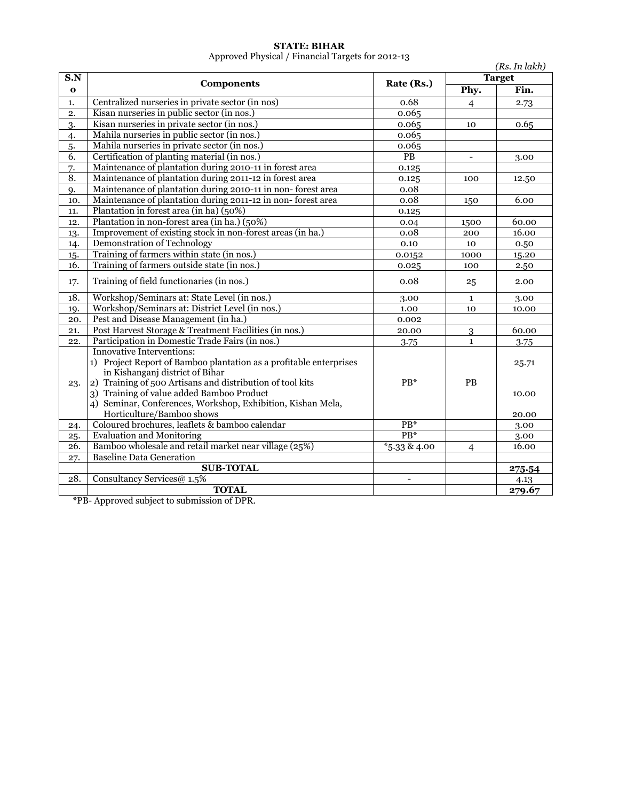#### **STATE: BIHAR**

Approved Physical / Financial Targets for 2012-13

|              | $\Delta$ pproved I hysical / Financial Targets for 2012-13         |                   |                | (Rs. In lakh) |
|--------------|--------------------------------------------------------------------|-------------------|----------------|---------------|
| S.N          |                                                                    |                   |                | <b>Target</b> |
| $\mathbf{o}$ | <b>Components</b>                                                  | Rate (Rs.)        | Phy.           | Fin.          |
| 1.           | Centralized nurseries in private sector (in nos)                   | 0.68              | $\overline{4}$ | 2.73          |
| 2.           | Kisan nurseries in public sector (in nos.)                         | 0.065             |                |               |
| 3.           | Kisan nurseries in private sector (in nos.)                        | 0.065             | 10             | 0.65          |
| 4.           | Mahila nurseries in public sector (in nos.)                        | 0.065             |                |               |
| 5.           | Mahila nurseries in private sector (in nos.)                       | 0.065             |                |               |
| 6.           | Certification of planting material (in nos.)                       | PB                |                | 3.00          |
| 7.           | Maintenance of plantation during 2010-11 in forest area            | 0.125             |                |               |
| 8.           | Maintenance of plantation during 2011-12 in forest area            | 0.125             | 100            | 12.50         |
| 9.           | Maintenance of plantation during 2010-11 in non-forest area        | 0.08              |                |               |
| 10.          | Maintenance of plantation during 2011-12 in non-forest area        | 0.08              | 150            | 6.00          |
| 11.          | Plantation in forest area (in ha) (50%)                            | 0.125             |                |               |
| 12.          | Plantation in non-forest area (in ha.) (50%)                       | 0.04              | 1500           | 60.00         |
| 13.          | Improvement of existing stock in non-forest areas (in ha.)         | 0.08              | 200            | 16.00         |
| 14.          | Demonstration of Technology                                        | 0.10              | 10             | 0.50          |
| 15.          | Training of farmers within state (in nos.)                         | 0.0152            | 1000           | 15.20         |
| 16.          | Training of farmers outside state (in nos.)                        | 0.025             | 100            | 2.50          |
| 17.          | Training of field functionaries (in nos.)                          | 0.08              | 25             | 2.00          |
| 18.          | Workshop/Seminars at: State Level (in nos.)                        | 3.00              | 1              | 3.00          |
| 19.          | Workshop/Seminars at: District Level (in nos.)                     | 1.00              | 10             | 10.00         |
| 20.          | Pest and Disease Management (in ha.)                               | 0.002             |                |               |
| 21.          | Post Harvest Storage & Treatment Facilities (in nos.)              | 20.00             | 3              | 60.00         |
| 22.          | Participation in Domestic Trade Fairs (in nos.)                    | 3.75              | $\mathbf{1}$   | 3.75          |
|              | <b>Innovative Interventions:</b>                                   |                   |                |               |
|              | 1) Project Report of Bamboo plantation as a profitable enterprises |                   |                | 25.71         |
|              | in Kishanganj district of Bihar                                    |                   |                |               |
| 23.          | 2) Training of 500 Artisans and distribution of tool kits          | $PB*$             | PB             |               |
|              | 3) Training of value added Bamboo Product                          |                   |                | 10.00         |
|              | 4) Seminar, Conferences, Workshop, Exhibition, Kishan Mela,        |                   |                |               |
|              | Horticulture/Bamboo shows                                          |                   |                | 20.00         |
| 24.          | Coloured brochures, leaflets & bamboo calendar                     | $PB*$             |                | 3.00          |
| 25.          | Evaluation and Monitoring                                          | $PB*$             |                | 3.00          |
| 26.          | Bamboo wholesale and retail market near village (25%)              | $*_{5.33}$ & 4.00 | $\overline{4}$ | 16.00         |
| 27.          | <b>Baseline Data Generation</b>                                    |                   |                |               |
|              | <b>SUB-TOTAL</b>                                                   |                   |                | 275.54        |
| 28.          | Consultancy Services@ 1.5%                                         | $\overline{a}$    |                | 4.13          |
|              | <b>TOTAL</b>                                                       |                   |                | 279.67        |

\*PB- Approved subject to submission of DPR.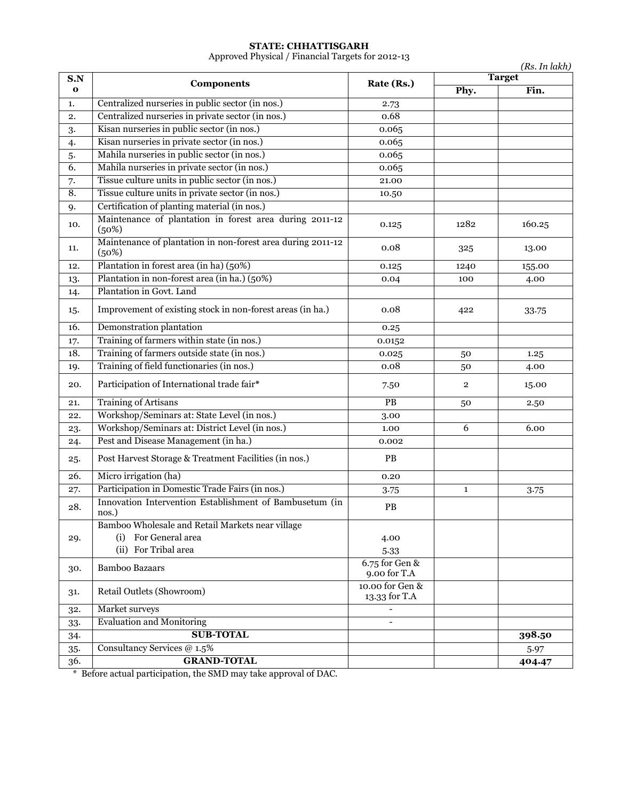#### **STATE: CHHATTISGARH**

Approved Physical / Financial Targets for 2012-13

|                     |                                                                          |                                  |                | (Rs. In lakh)<br><b>Target</b> |  |
|---------------------|--------------------------------------------------------------------------|----------------------------------|----------------|--------------------------------|--|
| S.N<br>$\mathbf{o}$ | <b>Components</b>                                                        | Rate (Rs.)                       | Phy.           | Fin.                           |  |
| 1.                  | Centralized nurseries in public sector (in nos.)                         | 2.73                             |                |                                |  |
| 2.                  | Centralized nurseries in private sector (in nos.)                        | 0.68                             |                |                                |  |
| 3.                  | Kisan nurseries in public sector (in nos.)                               | 0.065                            |                |                                |  |
| 4.                  | Kisan nurseries in private sector (in nos.)                              | 0.065                            |                |                                |  |
| 5.                  | Mahila nurseries in public sector (in nos.)                              | 0.065                            |                |                                |  |
| $\overline{6}$ .    | Mahila nurseries in private sector (in nos.)                             | 0.065                            |                |                                |  |
| 7.                  | Tissue culture units in public sector (in nos.)                          | 21.00                            |                |                                |  |
| 8.                  | Tissue culture units in private sector (in nos.)                         | 10.50                            |                |                                |  |
| 9.                  | Certification of planting material (in nos.)                             |                                  |                |                                |  |
| 10.                 | Maintenance of plantation in forest area during 2011-12<br>(50%)         | 0.125                            | 1282           | 160.25                         |  |
| 11.                 | Maintenance of plantation in non-forest area during 2011-12<br>(50%)     | 0.08                             | 325            | 13.00                          |  |
| 12.                 | Plantation in forest area (in ha) (50%)                                  | 0.125                            | 1240           | 155.00                         |  |
| 13.                 | Plantation in non-forest area (in ha.) (50%)                             | 0.04                             | 100            | 4.00                           |  |
| 14.                 | Plantation in Govt. Land                                                 |                                  |                |                                |  |
| 15.                 | Improvement of existing stock in non-forest areas (in ha.)               | 0.08                             | 422            | 33.75                          |  |
| 16.                 | Demonstration plantation                                                 | 0.25                             |                |                                |  |
| 17.                 | Training of farmers within state (in nos.)                               | 0.0152                           |                |                                |  |
| 18.                 | Training of farmers outside state (in nos.)                              | 0.025                            | 50             | 1.25                           |  |
| 19.                 | Training of field functionaries (in nos.)                                | 0.08                             | 50             | 4.00                           |  |
| 20.                 | Participation of International trade fair*                               | 7.50                             | $\overline{2}$ | 15.00                          |  |
| 21.                 | <b>Training of Artisans</b>                                              | $\overline{PB}$                  | 50             | 2.50                           |  |
| 22.                 | Workshop/Seminars at: State Level (in nos.)                              | 3.00                             |                |                                |  |
| 23.                 | Workshop/Seminars at: District Level (in nos.)                           | 1.00                             | $\overline{6}$ | 6.00                           |  |
| 24.                 | Pest and Disease Management (in ha.)                                     | 0.002                            |                |                                |  |
| 25.                 | Post Harvest Storage & Treatment Facilities (in nos.)                    | PB                               |                |                                |  |
| 26.                 | Micro irrigation (ha)                                                    | 0.20                             |                |                                |  |
| 27.                 | Participation in Domestic Trade Fairs (in nos.)                          | 3.75                             | $\mathbf{1}$   | 3.75                           |  |
| 28.                 | Innovation Intervention Establishment of Bambusetum (in<br>nos.)         | PB                               |                |                                |  |
| 29.                 | Bamboo Wholesale and Retail Markets near village<br>(i) For General area | 4.00                             |                |                                |  |
|                     | (ii) For Tribal area                                                     |                                  |                |                                |  |
|                     |                                                                          | 5.33<br>$6.75$ for Gen &         |                |                                |  |
| 30.                 | <b>Bamboo Bazaars</b>                                                    | 9.00 for T.A                     |                |                                |  |
| 31.                 | Retail Outlets (Showroom)                                                | 10.00 for Gen &<br>13.33 for T.A |                |                                |  |
| 32.                 | Market surveys                                                           |                                  |                |                                |  |
| 33.                 | <b>Evaluation and Monitoring</b>                                         |                                  |                |                                |  |
| 34.                 | <b>SUB-TOTAL</b>                                                         |                                  |                | 398.50                         |  |
| $35-$               | Consultancy Services @ 1.5%                                              |                                  |                | 5.97                           |  |
| 36.                 | <b>GRAND-TOTAL</b>                                                       |                                  |                | 404.47                         |  |

\* Before actual participation, the SMD may take approval of DAC.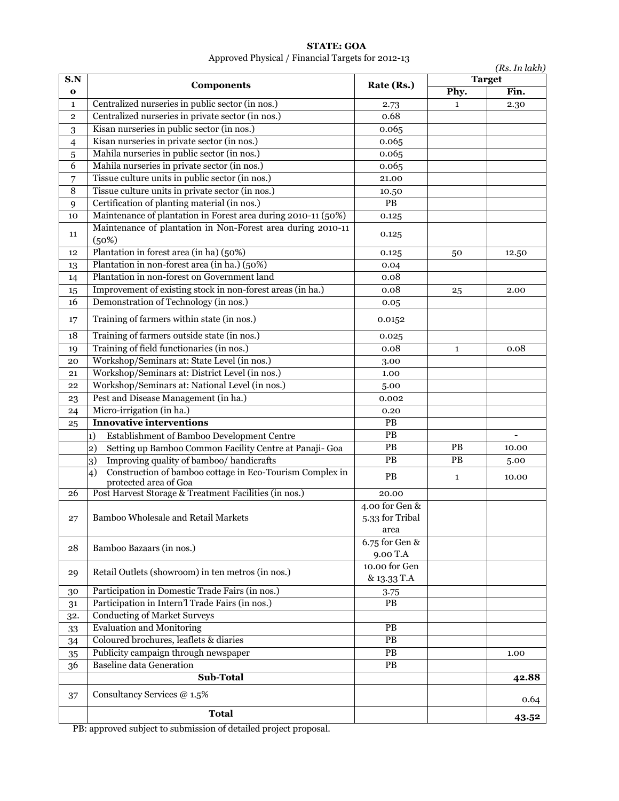|                    |                                                                                         |                                           |              | (Rs. In lakh)         |
|--------------------|-----------------------------------------------------------------------------------------|-------------------------------------------|--------------|-----------------------|
| S.N<br>$\mathbf o$ | <b>Components</b>                                                                       | Rate (Rs.)                                | Phy.         | <b>Target</b><br>Fin. |
| $\mathbf{1}$       | Centralized nurseries in public sector (in nos.)                                        | 2.73                                      | $\mathbf{1}$ | 2.30                  |
| $\mathbf 2$        | Centralized nurseries in private sector (in nos.)                                       | 0.68                                      |              |                       |
| $\mathbf{3}$       | Kisan nurseries in public sector (in nos.)                                              | 0.065                                     |              |                       |
| $\overline{4}$     | Kisan nurseries in private sector (in nos.)                                             | 0.065                                     |              |                       |
| $\sqrt{5}$         | Mahila nurseries in public sector (in nos.)                                             | 0.065                                     |              |                       |
| 6                  | Mahila nurseries in private sector (in nos.)                                            | 0.065                                     |              |                       |
| 7                  | Tissue culture units in public sector (in nos.)                                         | 21.00                                     |              |                       |
| $\overline{8}$     | Tissue culture units in private sector (in nos.)                                        | 10.50                                     |              |                       |
| 9                  | Certification of planting material (in nos.)                                            | PB                                        |              |                       |
| 10                 | Maintenance of plantation in Forest area during 2010-11 (50%)                           | 0.125                                     |              |                       |
| 11                 | Maintenance of plantation in Non-Forest area during 2010-11<br>(50%)                    | 0.125                                     |              |                       |
| 12                 | Plantation in forest area (in ha) (50%)                                                 | 0.125                                     | 50           | 12.50                 |
| 13                 | Plantation in non-forest area (in ha.) (50%)                                            | 0.04                                      |              |                       |
| 14                 | Plantation in non-forest on Government land                                             | 0.08                                      |              |                       |
| 15                 | Improvement of existing stock in non-forest areas (in ha.)                              | 0.08                                      | 25           | 2.00                  |
| 16                 | Demonstration of Technology (in nos.)                                                   | 0.05                                      |              |                       |
| 17                 | Training of farmers within state (in nos.)                                              | 0.0152                                    |              |                       |
| 18                 | Training of farmers outside state (in nos.)                                             | 0.025                                     |              |                       |
| 19                 | Training of field functionaries (in nos.)                                               | 0.08                                      | $\mathbf{1}$ | 0.08                  |
| 20                 | Workshop/Seminars at: State Level (in nos.)                                             | 3.00                                      |              |                       |
| 21                 | Workshop/Seminars at: District Level (in nos.)                                          | 1.00                                      |              |                       |
| 22                 | Workshop/Seminars at: National Level (in nos.)                                          | 5.00                                      |              |                       |
| 23                 | Pest and Disease Management (in ha.)                                                    | 0.002                                     |              |                       |
| 24                 | Micro-irrigation (in ha.)                                                               | 0.20                                      |              |                       |
| 25                 | <b>Innovative interventions</b>                                                         | $\mathbf{PB}$                             |              |                       |
|                    | Establishment of Bamboo Development Centre<br>$\vert$ 1)                                | $\overline{PB}$                           |              |                       |
|                    | Setting up Bamboo Common Facility Centre at Panaji- Goa<br>$\mathbf{2}$                 | $\overline{PB}$                           | PB           | 10.00                 |
|                    | Improving quality of bamboo/ handicrafts<br>3)                                          | $\overline{PB}$                           | PB           | 5.00                  |
|                    | Construction of bamboo cottage in Eco-Tourism Complex in<br>4)<br>protected area of Goa | PB                                        | $\mathbf{1}$ | 10.00                 |
| 26                 | Post Harvest Storage & Treatment Facilities (in nos.)                                   | 20.00                                     |              |                       |
| 27                 | Bamboo Wholesale and Retail Markets                                                     | 4.00 for Gen &<br>5.33 for Tribal<br>area |              |                       |
| 28                 | Bamboo Bazaars (in nos.)                                                                | 6.75 for Gen &<br>9.00 T.A                |              |                       |
| 29                 | Retail Outlets (showroom) in ten metros (in nos.)                                       | 10.00 for Gen<br>& 13.33 T.A              |              |                       |
| 30                 | Participation in Domestic Trade Fairs (in nos.)                                         | 3.75                                      |              |                       |
| 31                 | Participation in Intern'l Trade Fairs (in nos.)                                         | PB                                        |              |                       |
| 32.                | <b>Conducting of Market Surveys</b>                                                     |                                           |              |                       |
| 33                 | <b>Evaluation and Monitoring</b>                                                        | <b>PB</b>                                 |              |                       |
| 34                 | Coloured brochures, leaflets & diaries                                                  | PB                                        |              |                       |
| 35                 | Publicity campaign through newspaper                                                    | PB                                        |              | 1.00                  |
| 36                 | <b>Baseline data Generation</b>                                                         | PB                                        |              |                       |
|                    | Sub-Total                                                                               |                                           |              | 42.88                 |
| 37                 | Consultancy Services @ 1.5%                                                             |                                           |              | 0.64                  |
|                    | <b>Total</b>                                                                            |                                           |              | 43.52                 |

### **STATE: GOA** Approved Physical / Financial Targets for 2012-13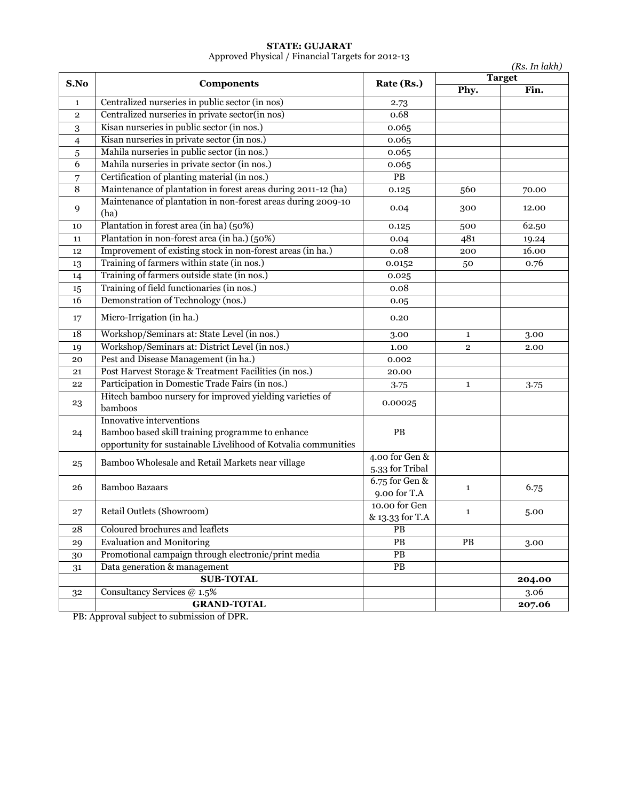#### **STATE: GUJARAT**

Approved Physical / Financial Targets for 2012-13

|                 |                                                                                                                                                |                                   |                | (Rs. In lakh)         |
|-----------------|------------------------------------------------------------------------------------------------------------------------------------------------|-----------------------------------|----------------|-----------------------|
| S.No            | <b>Components</b>                                                                                                                              | Rate (Rs.)                        | Phy.           | <b>Target</b><br>Fin. |
| 1               | Centralized nurseries in public sector (in nos)                                                                                                | 2.73                              |                |                       |
| $\overline{2}$  | Centralized nurseries in private sector(in nos)                                                                                                | 0.68                              |                |                       |
| 3               | Kisan nurseries in public sector (in nos.)                                                                                                     | 0.065                             |                |                       |
| 4               | Kisan nurseries in private sector (in nos.)                                                                                                    | 0.065                             |                |                       |
| 5               | Mahila nurseries in public sector (in nos.)                                                                                                    | 0.065                             |                |                       |
| 6               | Mahila nurseries in private sector (in nos.)                                                                                                   | 0.065                             |                |                       |
| 7               | Certification of planting material (in nos.)                                                                                                   | $\overline{PB}$                   |                |                       |
| 8               | Maintenance of plantation in forest areas during 2011-12 (ha)                                                                                  | 0.125                             | 560            | 70.00                 |
| 9               | Maintenance of plantation in non-forest areas during 2009-10<br>(ha)                                                                           | 0.04                              | 300            | 12.00                 |
| 10              | Plantation in forest area (in ha) (50%)                                                                                                        | 0.125                             | 500            | 62.50                 |
| 11              | Plantation in non-forest area (in ha.) (50%)                                                                                                   | 0.04                              | 481            | 19.24                 |
| 12              | Improvement of existing stock in non-forest areas (in ha.)                                                                                     | 0.08                              | 200            | 16.00                 |
| 13              | Training of farmers within state (in nos.)                                                                                                     | 0.0152                            | 50             | 0.76                  |
| 14              | Training of farmers outside state (in nos.)                                                                                                    | 0.025                             |                |                       |
| 15              | Training of field functionaries (in nos.)                                                                                                      | 0.08                              |                |                       |
| $\overline{16}$ | Demonstration of Technology (nos.)                                                                                                             | 0.05                              |                |                       |
| 17              | Micro-Irrigation (in ha.)                                                                                                                      | 0.20                              |                |                       |
| 18              | Workshop/Seminars at: State Level (in nos.)                                                                                                    | 3.00                              | $\mathbf{1}$   | 3.00                  |
| 19              | Workshop/Seminars at: District Level (in nos.)                                                                                                 | 1.00                              | $\overline{2}$ | 2.00                  |
| 20              | Pest and Disease Management (in ha.)                                                                                                           | 0.002                             |                |                       |
| 21              | Post Harvest Storage & Treatment Facilities (in nos.)                                                                                          | 20.00                             |                |                       |
| 22              | Participation in Domestic Trade Fairs (in nos.)                                                                                                | 3.75                              | $\mathbf{1}$   | 3.75                  |
| 23              | Hitech bamboo nursery for improved yielding varieties of<br>bamboos                                                                            | 0.00025                           |                |                       |
| 24              | Innovative interventions<br>Bamboo based skill training programme to enhance<br>opportunity for sustainable Livelihood of Kotvalia communities | PB                                |                |                       |
| 25              | Bamboo Wholesale and Retail Markets near village                                                                                               | 4.00 for Gen &<br>5.33 for Tribal |                |                       |
| 26              | <b>Bamboo Bazaars</b>                                                                                                                          | 6.75 for Gen &<br>9.00 for T.A    | $\mathbf{1}$   | 6.75                  |
| 27              | Retail Outlets (Showroom)                                                                                                                      | 10.00 for Gen<br>& 13.33 for T.A  | $\mathbf{1}$   | 5.00                  |
| 28              | Coloured brochures and leaflets                                                                                                                | $\overline{PB}$                   |                |                       |
| 29              | <b>Evaluation and Monitoring</b>                                                                                                               | $\mathbf{PB}$                     | PB             | 3.00                  |
| 30              | Promotional campaign through electronic/print media                                                                                            | $\overline{PB}$                   |                |                       |
| 31              | Data generation & management                                                                                                                   | PB                                |                |                       |
|                 | <b>SUB-TOTAL</b>                                                                                                                               |                                   |                | 204.00                |
| 32              | Consultancy Services @ 1.5%                                                                                                                    |                                   |                | 3.06                  |
|                 | <b>GRAND-TOTAL</b>                                                                                                                             |                                   |                | 207.06                |

PB: Approval subject to submission of DPR.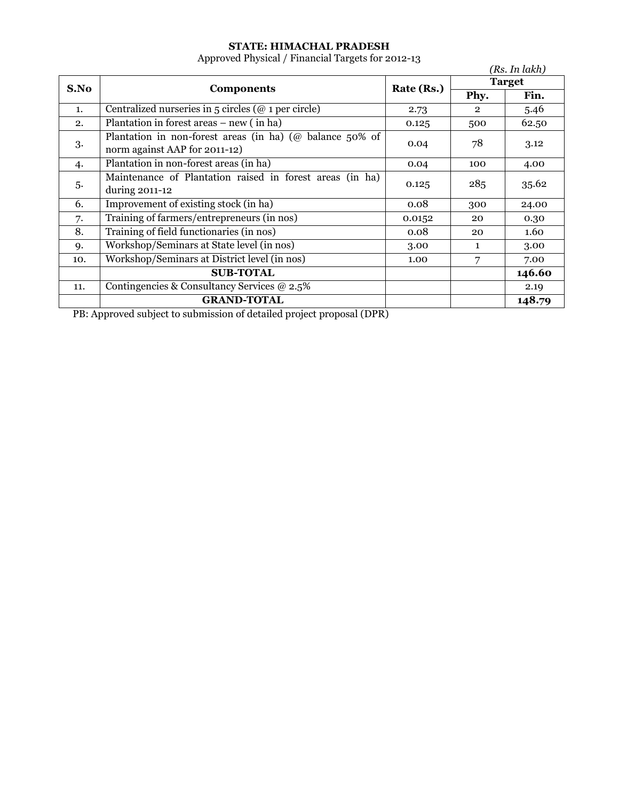### **STATE: HIMACHAL PRADESH**

Approved Physical / Financial Targets for 2012-13

|      |                                                             |            |              | (Rs. In lakh) |
|------|-------------------------------------------------------------|------------|--------------|---------------|
| S.No | <b>Components</b>                                           | Rate (Rs.) |              | <b>Target</b> |
|      |                                                             |            | Phy.         | Fin.          |
| 1.   | Centralized nurseries in $5$ circles ( $@$ 1 per circle)    | 2.73       | $\mathbf{2}$ | 5.46          |
| 2.   | Plantation in forest areas $-$ new (in ha)                  | 0.125      | 500          | 62.50         |
| 3.   | Plantation in non-forest areas (in ha) ( $@$ balance 50% of | 0.04       | 78           | 3.12          |
|      | norm against AAP for 2011-12)                               |            |              |               |
| 4.   | Plantation in non-forest areas (in ha)                      | 0.04       | 100          | 4.00          |
| 5.   | Maintenance of Plantation raised in forest areas (in ha)    | 0.125      | 285          | 35.62         |
|      | during 2011-12                                              |            |              |               |
| 6.   | Improvement of existing stock (in ha)                       | 0.08       | 300          | 24.00         |
| 7.   | Training of farmers/entrepreneurs (in nos)                  | 0.0152     | 20           | 0.30          |
| 8.   | Training of field functionaries (in nos)                    | 0.08       | 20           | 1.60          |
| 9.   | Workshop/Seminars at State level (in nos)                   | 3.00       | 1            | 3.00          |
| 10.  | Workshop/Seminars at District level (in nos)                | 1.00       | 7            | 7.00          |
|      | <b>SUB-TOTAL</b>                                            |            |              | 146.60        |
| 11.  | Contingencies & Consultancy Services $\omega$ 2.5%          |            |              | 2.19          |
|      | <b>GRAND-TOTAL</b>                                          |            |              | 148.79        |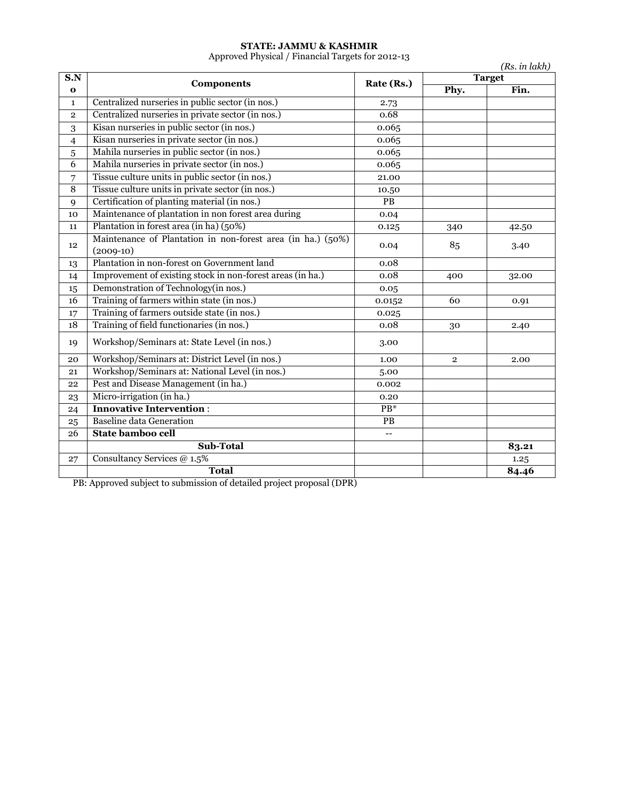#### **STATE: JAMMU & KASHMIR**

Approved Physical / Financial Targets for 2012-13

|                | Approved Physical / Phiancial Targets for 2012-13           |            |                | (Rs. in lakh) |
|----------------|-------------------------------------------------------------|------------|----------------|---------------|
| S.N            | <b>Components</b>                                           | Rate (Rs.) |                | <b>Target</b> |
| $\bf{o}$       |                                                             |            | Phy.           | Fin.          |
| $\mathbf{1}$   | Centralized nurseries in public sector (in nos.)            | 2.73       |                |               |
| $\overline{2}$ | Centralized nurseries in private sector (in nos.)           | 0.68       |                |               |
| 3              | Kisan nurseries in public sector (in nos.)                  | 0.065      |                |               |
| 4              | Kisan nurseries in private sector (in nos.)                 | 0.065      |                |               |
| 5              | Mahila nurseries in public sector (in nos.)                 | 0.065      |                |               |
| 6              | Mahila nurseries in private sector (in nos.)                | 0.065      |                |               |
| 7              | Tissue culture units in public sector (in nos.)             | 21.00      |                |               |
| $\overline{8}$ | Tissue culture units in private sector (in nos.)            | 10.50      |                |               |
| 9              | Certification of planting material (in nos.)                | PB         |                |               |
| 10             | Maintenance of plantation in non forest area during         | 0.04       |                |               |
| 11             | Plantation in forest area (in ha) (50%)                     | 0.125      | 340            | 42.50         |
|                | Maintenance of Plantation in non-forest area (in ha.) (50%) |            |                |               |
| 12             | $(2009-10)$                                                 | 0.04       | 85             | 3.40          |
| 13             | Plantation in non-forest on Government land                 | 0.08       |                |               |
| 14             | Improvement of existing stock in non-forest areas (in ha.)  | 0.08       | 400            | 32.00         |
| 15             | Demonstration of Technology(in nos.)                        | 0.05       |                |               |
| 16             | Training of farmers within state (in nos.)                  | 0.0152     | 60             | 0.91          |
| 17             | Training of farmers outside state (in nos.)                 | 0.025      |                |               |
| 18             | Training of field functionaries (in nos.)                   | 0.08       | 30             | 2.40          |
| 19             | Workshop/Seminars at: State Level (in nos.)                 | 3.00       |                |               |
| 20             | Workshop/Seminars at: District Level (in nos.)              | 1.00       | $\overline{2}$ | 2.00          |
| 21             | Workshop/Seminars at: National Level (in nos.)              | 5.00       |                |               |
| 22             | Pest and Disease Management (in ha.)                        | 0.002      |                |               |
| 23             | Micro-irrigation (in ha.)                                   | 0.20       |                |               |
| 24             | <b>Innovative Intervention:</b>                             | $PB*$      |                |               |
| 25             | <b>Baseline data Generation</b>                             | PB         |                |               |
| 26             | State bamboo cell                                           | $-$        |                |               |
|                | Sub-Total                                                   |            |                | 83.21         |
| 27             | Consultancy Services @ 1.5%                                 |            |                | 1.25          |
|                | <b>Total</b>                                                |            |                | 84.46         |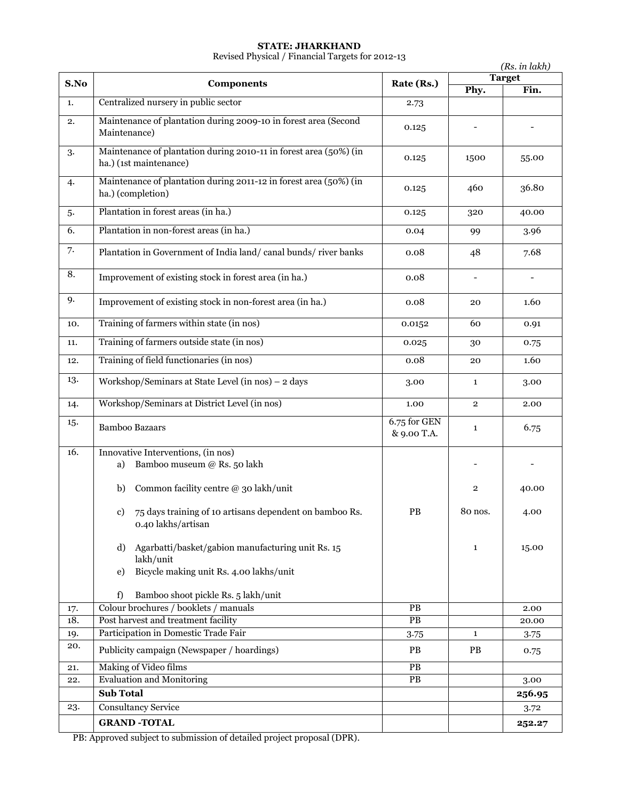#### **STATE: JHARKHAND**

Revised Physical / Financial Targets for 2012-13

|      |                                                                                                                       |                             | (Rs. in lakh)<br><b>Target</b> |        |
|------|-----------------------------------------------------------------------------------------------------------------------|-----------------------------|--------------------------------|--------|
| S.No | <b>Components</b>                                                                                                     | Rate (Rs.)                  | Phy.                           | Fin.   |
| 1.   | Centralized nursery in public sector                                                                                  | 2.73                        |                                |        |
| 2.   | Maintenance of plantation during 2009-10 in forest area (Second<br>Maintenance)                                       | 0.125                       |                                |        |
| 3.   | Maintenance of plantation during 2010-11 in forest area (50%) (in<br>ha.) (1st maintenance)                           | 0.125                       | 1500                           | 55.00  |
| 4.   | Maintenance of plantation during 2011-12 in forest area (50%) (in<br>ha.) (completion)                                | 0.125                       | 460                            | 36.80  |
| 5.   | Plantation in forest areas (in ha.)                                                                                   | 0.125                       | 320                            | 40.00  |
| 6.   | Plantation in non-forest areas (in ha.)                                                                               | 0.04                        | 99                             | 3.96   |
| 7.   | Plantation in Government of India land/canal bunds/river banks                                                        | 0.08                        | 48                             | 7.68   |
| 8.   | Improvement of existing stock in forest area (in ha.)                                                                 | 0.08                        |                                |        |
| 9.   | Improvement of existing stock in non-forest area (in ha.)                                                             | 0.08                        | 20                             | 1.60   |
| 10.  | Training of farmers within state (in nos)                                                                             | 0.0152                      | 60                             | 0.91   |
| 11.  | Training of farmers outside state (in nos)                                                                            | 0.025                       | 30                             | 0.75   |
| 12.  | Training of field functionaries (in nos)                                                                              | 0.08                        | 20                             | 1.60   |
| 13.  | Workshop/Seminars at State Level (in nos) - 2 days                                                                    | 3.00                        | $\mathbf{1}$                   | 3.00   |
| 14.  | Workshop/Seminars at District Level (in nos)                                                                          | 1.00                        | $\overline{2}$                 | 2.00   |
| 15.  | <b>Bamboo Bazaars</b>                                                                                                 | 6.75 for GEN<br>& 9.00 T.A. | $\mathbf{1}$                   | 6.75   |
| 16.  | Innovative Interventions, (in nos)                                                                                    |                             |                                |        |
|      | Bamboo museum @ Rs. 50 lakh<br>a)                                                                                     |                             |                                |        |
|      | Common facility centre @ 30 lakh/unit<br>b)                                                                           |                             | $\overline{2}$                 | 40.00  |
|      | c) 75 days training of 10 artisans dependent on bamboo Rs.<br>0.40 lakhs/artisan                                      | PB                          | 80 nos.                        | 4.00   |
|      | Agarbatti/basket/gabion manufacturing unit Rs. 15<br>d)<br>lakh/unit<br>Bicycle making unit Rs. 4.00 lakhs/unit<br>e) |                             | 1                              | 15.00  |
|      | Bamboo shoot pickle Rs. 5 lakh/unit<br>f)                                                                             |                             |                                |        |
| 17.  | Colour brochures / booklets / manuals                                                                                 | PB                          |                                | 2.00   |
| 18.  | Post harvest and treatment facility                                                                                   | PB                          |                                | 20.00  |
| 19.  | Participation in Domestic Trade Fair                                                                                  | 3.75                        | $\mathbf{1}$                   | 3.75   |
| 20.  | Publicity campaign (Newspaper / hoardings)                                                                            | <b>PB</b>                   | <b>PB</b>                      | 0.75   |
| 21.  | Making of Video films                                                                                                 | PB                          |                                |        |
| 22.  | <b>Evaluation and Monitoring</b>                                                                                      | <b>PB</b>                   |                                | 3.00   |
|      | <b>Sub Total</b>                                                                                                      |                             |                                | 256.95 |
| 23.  | <b>Consultancy Service</b>                                                                                            |                             |                                | 3.72   |
|      | <b>GRAND-TOTAL</b>                                                                                                    |                             |                                | 252.27 |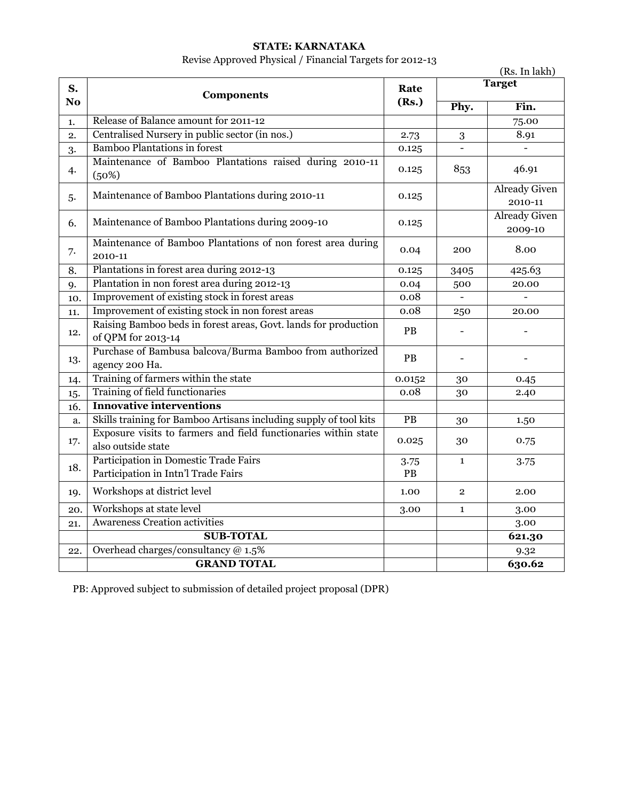## **STATE: KARNATAKA**

Revise Approved Physical / Financial Targets for 2012-13

|                      | (Rs. In lakh)                                                                         |                 |                |                                 |
|----------------------|---------------------------------------------------------------------------------------|-----------------|----------------|---------------------------------|
| S.<br>N <sub>o</sub> | <b>Components</b>                                                                     | Rate<br>(Rs.)   |                | <b>Target</b>                   |
|                      |                                                                                       |                 | Phy.           | Fin.                            |
| 1.                   | Release of Balance amount for 2011-12                                                 |                 |                | 75.00                           |
| 2.                   | Centralised Nursery in public sector (in nos.)                                        | 2.73            | 3              | 8.91                            |
| 3.                   | <b>Bamboo Plantations in forest</b>                                                   | 0.125           |                |                                 |
| 4.                   | Maintenance of Bamboo Plantations raised during 2010-11<br>(50%)                      | 0.125           | 853            | 46.91                           |
| 5.                   | Maintenance of Bamboo Plantations during 2010-11                                      | 0.125           |                | <b>Already Given</b><br>2010-11 |
| 6.                   | Maintenance of Bamboo Plantations during 2009-10                                      | 0.125           |                | <b>Already Given</b><br>2009-10 |
| 7.                   | Maintenance of Bamboo Plantations of non forest area during<br>2010-11                | 0.04            | 200            | 8.00                            |
| 8.                   | Plantations in forest area during 2012-13                                             | 0.125           | 3405           | 425.63                          |
| 9.                   | Plantation in non forest area during 2012-13                                          | 0.04            | 500            | 20.00                           |
| 10.                  | Improvement of existing stock in forest areas                                         | 0.08            |                |                                 |
| 11.                  | Improvement of existing stock in non forest areas                                     | 0.08            | 250            | 20.00                           |
| 12.                  | Raising Bamboo beds in forest areas, Govt. lands for production<br>of QPM for 2013-14 | PB              |                |                                 |
| 13.                  | Purchase of Bambusa balcova/Burma Bamboo from authorized<br>agency 200 Ha.            | PB              |                |                                 |
| 14.                  | Training of farmers within the state                                                  | 0.0152          | 30             | 0.45                            |
| 15.                  | Training of field functionaries                                                       | 0.08            | 30             | 2.40                            |
| 16.                  | <b>Innovative interventions</b>                                                       |                 |                |                                 |
| a.                   | Skills training for Bamboo Artisans including supply of tool kits                     | $\overline{PB}$ | 30             | 1.50                            |
| 17.                  | Exposure visits to farmers and field functionaries within state<br>also outside state | 0.025           | 30             | 0.75                            |
| 18.                  | Participation in Domestic Trade Fairs<br>Participation in Intn'l Trade Fairs          | 3.75<br>PB      | $\mathbf{1}$   | 3.75                            |
| 19.                  | Workshops at district level                                                           | 1.00            | $\overline{2}$ | 2.00                            |
| 20.                  | Workshops at state level                                                              | 3.00            | $\mathbf{1}$   | 3.00                            |
| 21.                  | <b>Awareness Creation activities</b>                                                  |                 |                | 3.00                            |
|                      | <b>SUB-TOTAL</b>                                                                      |                 |                | 621.30                          |
| 22.                  | Overhead charges/consultancy @ 1.5%                                                   |                 |                | 9.32                            |
|                      | <b>GRAND TOTAL</b>                                                                    |                 |                | 630.62                          |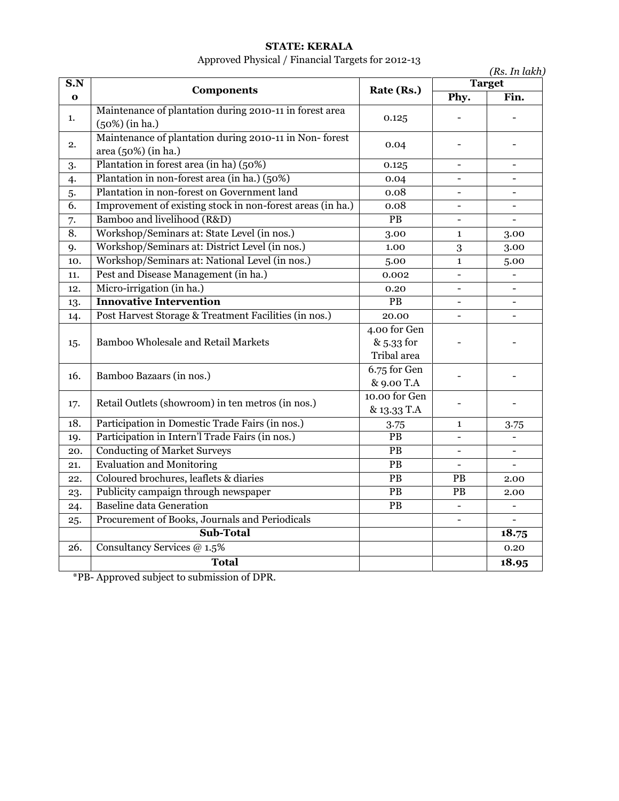## **STATE: KERALA**

# Approved Physical / Financial Targets for 2012-13

| S.N         |                                                                               | Rate (Rs.)<br>0.125<br>0.04               |                              | (Rs. In lakh)<br><b>Target</b> |
|-------------|-------------------------------------------------------------------------------|-------------------------------------------|------------------------------|--------------------------------|
| $\mathbf o$ | <b>Components</b>                                                             |                                           | Phy.                         | Fin.                           |
| 1.          | Maintenance of plantation during 2010-11 in forest area<br>$(50%)$ (in ha.)   |                                           |                              |                                |
| 2.          | Maintenance of plantation during 2010-11 in Non-forest<br>area (50%) (in ha.) |                                           |                              |                                |
| 3.          | Plantation in forest area (in ha) (50%)                                       | 0.125                                     | $\overline{\phantom{0}}$     |                                |
| 4.          | Plantation in non-forest area (in ha.) (50%)                                  | 0.04                                      | $\overline{\phantom{a}}$     |                                |
| 5.          | Plantation in non-forest on Government land                                   | 0.08                                      | $\qquad \qquad -$            |                                |
| 6.          | Improvement of existing stock in non-forest areas (in ha.)                    | 0.08                                      | $\qquad \qquad -$            |                                |
| 7.          | Bamboo and livelihood (R&D)                                                   | $\mathbf{PB}$                             | $\overline{\phantom{0}}$     |                                |
| 8.          | Workshop/Seminars at: State Level (in nos.)                                   | 3.00                                      | $\mathbf{1}$                 | 3.00                           |
| 9.          | Workshop/Seminars at: District Level (in nos.)                                | 1.00                                      | 3                            | 3.00                           |
| 10.         | Workshop/Seminars at: National Level (in nos.)                                | 5.00                                      | $\mathbf{1}$                 | 5.00                           |
| 11.         | Pest and Disease Management (in ha.)                                          | 0.002                                     | $\overline{\phantom{0}}$     |                                |
| 12.         | Micro-irrigation (in ha.)                                                     | $0.20\,$                                  | $\overline{\phantom{0}}$     |                                |
| 13.         | <b>Innovative Intervention</b>                                                | PB                                        | $\qquad \qquad \blacksquare$ |                                |
| 14.         | Post Harvest Storage & Treatment Facilities (in nos.)                         | 20.00                                     | $\qquad \qquad -$            |                                |
| 15.         | <b>Bamboo Wholesale and Retail Markets</b>                                    | 4.00 for Gen<br>& 5.33 for<br>Tribal area |                              |                                |
| 16.         | Bamboo Bazaars (in nos.)                                                      | 6.75 for Gen<br>& 9.00 T.A                |                              |                                |
| 17.         | Retail Outlets (showroom) in ten metros (in nos.)                             | 10.00 for Gen<br>& 13.33 T.A              |                              |                                |
| 18.         | Participation in Domestic Trade Fairs (in nos.)                               | 3.75                                      | $\mathbf{1}$                 | 3.75                           |
| 19.         | Participation in Intern'l Trade Fairs (in nos.)                               | $\overline{PB}$                           | $\qquad \qquad -$            |                                |
| 20.         | <b>Conducting of Market Surveys</b>                                           | PB                                        | $\overline{\phantom{0}}$     |                                |
| 21.         | <b>Evaluation and Monitoring</b>                                              | $\mathbf{PB}$                             | $\blacksquare$               |                                |
| 22.         | Coloured brochures, leaflets & diaries                                        | $\mathbf{PB}$                             | PB                           | 2.00                           |
| 23.         | Publicity campaign through newspaper                                          | ${\bf P}{\bf B}$                          | PB                           | 2.00                           |
| 24.         | <b>Baseline data Generation</b>                                               | $\mathbf{PB}$                             | $\overline{\phantom{a}}$     |                                |
| 25.         | Procurement of Books, Journals and Periodicals                                |                                           | $\blacksquare$               |                                |
|             | <b>Sub-Total</b>                                                              |                                           |                              | 18.75                          |
| 26.         | Consultancy Services @ 1.5%                                                   |                                           |                              | 0.20                           |
|             | <b>Total</b>                                                                  |                                           |                              | 18.95                          |

\*PB- Approved subject to submission of DPR.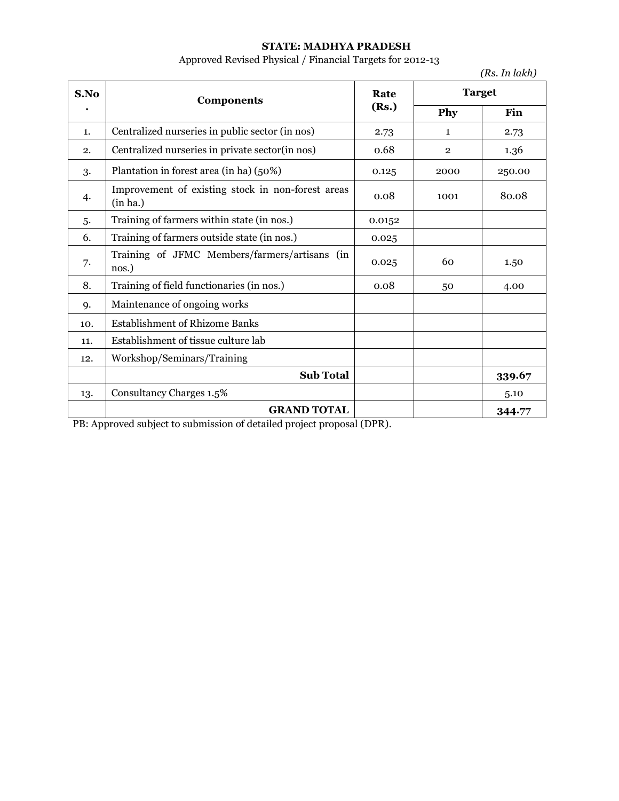## **STATE: MADHYA PRADESH**

Approved Revised Physical / Financial Targets for 2012-13

|      |                                                               |               |                | (Rs. In lakh) |
|------|---------------------------------------------------------------|---------------|----------------|---------------|
| S.No | <b>Components</b>                                             | Rate<br>(Rs.) |                | <b>Target</b> |
|      |                                                               |               | Phy            | Fin           |
| 1.   | Centralized nurseries in public sector (in nos)               | 2.73          | $\mathbf{1}$   | 2.73          |
| 2.   | Centralized nurseries in private sector(in nos)               | 0.68          | $\overline{2}$ | 1.36          |
| 3.   | Plantation in forest area (in ha) (50%)                       | 0.125         | 2000           | 250.00        |
| 4.   | Improvement of existing stock in non-forest areas<br>(in ha.) | 0.08          | 1001           | 80.08         |
| 5.   | Training of farmers within state (in nos.)                    | 0.0152        |                |               |
| 6.   | Training of farmers outside state (in nos.)                   | 0.025         |                |               |
| 7.   | Training of JFMC Members/farmers/artisans (in<br>nos.)        | 0.025         | 60             | 1.50          |
| 8.   | Training of field functionaries (in nos.)                     | 0.08          | 50             | 4.00          |
| 9.   | Maintenance of ongoing works                                  |               |                |               |
| 10.  | <b>Establishment of Rhizome Banks</b>                         |               |                |               |
| 11.  | Establishment of tissue culture lab                           |               |                |               |
| 12.  | Workshop/Seminars/Training                                    |               |                |               |
|      | <b>Sub Total</b>                                              |               |                | 339.67        |
| 13.  | Consultancy Charges 1.5%                                      |               |                | 5.10          |
|      | <b>GRAND TOTAL</b>                                            |               |                | 344.77        |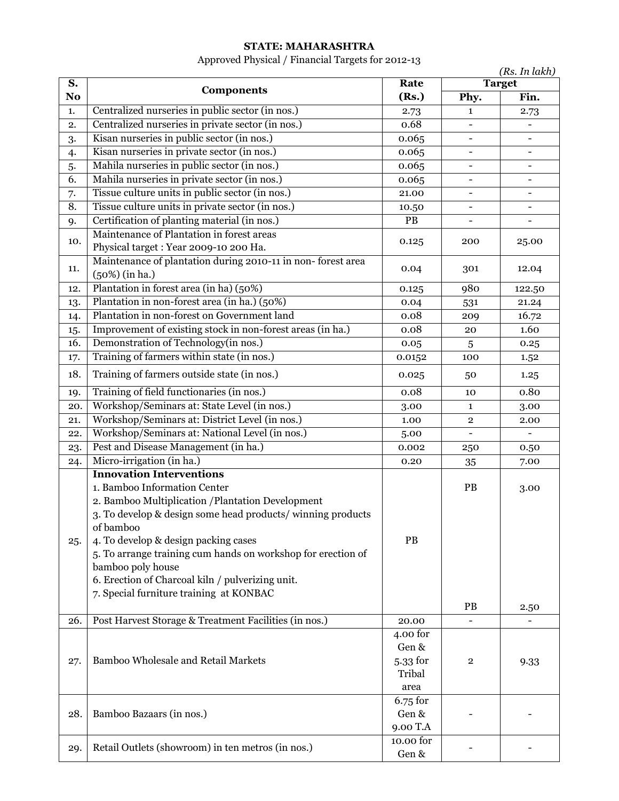# **STATE: MAHARASHTRA**

# Approved Physical / Financial Targets for 2012-13

| <b>Target</b><br>S.<br>Rate<br><b>Components</b><br>Fin.<br>No<br>(Rs.)<br>Phy.<br>Centralized nurseries in public sector (in nos.)<br>1.<br>2.73<br>$\mathbf{1}$<br>2.73<br>Centralized nurseries in private sector (in nos.)<br>0.68<br>2.<br>$\overline{\phantom{0}}$<br>-<br>Kisan nurseries in public sector (in nos.)<br>0.065<br>3.<br>$\blacksquare$<br>$\overline{\phantom{a}}$<br>Kisan nurseries in private sector (in nos.)<br>0.065<br>4.<br>$\blacksquare$<br>Mahila nurseries in public sector (in nos.)<br>5.<br>0.065<br>Mahila nurseries in private sector (in nos.)<br>6.<br>0.065<br>Tissue culture units in public sector (in nos.)<br>7.<br>21.00<br>$\blacksquare$<br>$\overline{\phantom{0}}$<br>Tissue culture units in private sector (in nos.)<br>8.<br>10.50<br>Certification of planting material (in nos.)<br>PB<br>9.<br>Maintenance of Plantation in forest areas<br>10.<br>0.125<br>200<br>25.00<br>Physical target : Year 2009-10 200 Ha.<br>Maintenance of plantation during 2010-11 in non-forest area<br>11.<br>0.04<br>301<br>12.04<br>$(50%)$ (in ha.)<br>Plantation in forest area (in ha) (50%)<br>980<br>12.<br>122.50<br>0.125 |
|---------------------------------------------------------------------------------------------------------------------------------------------------------------------------------------------------------------------------------------------------------------------------------------------------------------------------------------------------------------------------------------------------------------------------------------------------------------------------------------------------------------------------------------------------------------------------------------------------------------------------------------------------------------------------------------------------------------------------------------------------------------------------------------------------------------------------------------------------------------------------------------------------------------------------------------------------------------------------------------------------------------------------------------------------------------------------------------------------------------------------------------------------------------------------|
|                                                                                                                                                                                                                                                                                                                                                                                                                                                                                                                                                                                                                                                                                                                                                                                                                                                                                                                                                                                                                                                                                                                                                                           |
|                                                                                                                                                                                                                                                                                                                                                                                                                                                                                                                                                                                                                                                                                                                                                                                                                                                                                                                                                                                                                                                                                                                                                                           |
|                                                                                                                                                                                                                                                                                                                                                                                                                                                                                                                                                                                                                                                                                                                                                                                                                                                                                                                                                                                                                                                                                                                                                                           |
|                                                                                                                                                                                                                                                                                                                                                                                                                                                                                                                                                                                                                                                                                                                                                                                                                                                                                                                                                                                                                                                                                                                                                                           |
|                                                                                                                                                                                                                                                                                                                                                                                                                                                                                                                                                                                                                                                                                                                                                                                                                                                                                                                                                                                                                                                                                                                                                                           |
|                                                                                                                                                                                                                                                                                                                                                                                                                                                                                                                                                                                                                                                                                                                                                                                                                                                                                                                                                                                                                                                                                                                                                                           |
|                                                                                                                                                                                                                                                                                                                                                                                                                                                                                                                                                                                                                                                                                                                                                                                                                                                                                                                                                                                                                                                                                                                                                                           |
|                                                                                                                                                                                                                                                                                                                                                                                                                                                                                                                                                                                                                                                                                                                                                                                                                                                                                                                                                                                                                                                                                                                                                                           |
|                                                                                                                                                                                                                                                                                                                                                                                                                                                                                                                                                                                                                                                                                                                                                                                                                                                                                                                                                                                                                                                                                                                                                                           |
|                                                                                                                                                                                                                                                                                                                                                                                                                                                                                                                                                                                                                                                                                                                                                                                                                                                                                                                                                                                                                                                                                                                                                                           |
|                                                                                                                                                                                                                                                                                                                                                                                                                                                                                                                                                                                                                                                                                                                                                                                                                                                                                                                                                                                                                                                                                                                                                                           |
|                                                                                                                                                                                                                                                                                                                                                                                                                                                                                                                                                                                                                                                                                                                                                                                                                                                                                                                                                                                                                                                                                                                                                                           |
|                                                                                                                                                                                                                                                                                                                                                                                                                                                                                                                                                                                                                                                                                                                                                                                                                                                                                                                                                                                                                                                                                                                                                                           |
|                                                                                                                                                                                                                                                                                                                                                                                                                                                                                                                                                                                                                                                                                                                                                                                                                                                                                                                                                                                                                                                                                                                                                                           |
|                                                                                                                                                                                                                                                                                                                                                                                                                                                                                                                                                                                                                                                                                                                                                                                                                                                                                                                                                                                                                                                                                                                                                                           |
|                                                                                                                                                                                                                                                                                                                                                                                                                                                                                                                                                                                                                                                                                                                                                                                                                                                                                                                                                                                                                                                                                                                                                                           |
| Plantation in non-forest area (in ha.) (50%)<br>13.<br>0.04<br>531<br>21.24                                                                                                                                                                                                                                                                                                                                                                                                                                                                                                                                                                                                                                                                                                                                                                                                                                                                                                                                                                                                                                                                                               |
| Plantation in non-forest on Government land<br>0.08<br>16.72<br>14.<br>209                                                                                                                                                                                                                                                                                                                                                                                                                                                                                                                                                                                                                                                                                                                                                                                                                                                                                                                                                                                                                                                                                                |
| Improvement of existing stock in non-forest areas (in ha.)<br>1.60<br>0.08<br>20<br>15.                                                                                                                                                                                                                                                                                                                                                                                                                                                                                                                                                                                                                                                                                                                                                                                                                                                                                                                                                                                                                                                                                   |
| Demonstration of Technology(in nos.)<br>16.<br>0.05<br>$\sqrt{5}$<br>0.25                                                                                                                                                                                                                                                                                                                                                                                                                                                                                                                                                                                                                                                                                                                                                                                                                                                                                                                                                                                                                                                                                                 |
| Training of farmers within state (in nos.)<br>0.0152<br>100<br>17.<br>1.52                                                                                                                                                                                                                                                                                                                                                                                                                                                                                                                                                                                                                                                                                                                                                                                                                                                                                                                                                                                                                                                                                                |
| Training of farmers outside state (in nos.)<br>18.<br>0.025<br>50<br>1.25                                                                                                                                                                                                                                                                                                                                                                                                                                                                                                                                                                                                                                                                                                                                                                                                                                                                                                                                                                                                                                                                                                 |
| Training of field functionaries (in nos.)<br>0.08<br>0.80<br>19.<br>10                                                                                                                                                                                                                                                                                                                                                                                                                                                                                                                                                                                                                                                                                                                                                                                                                                                                                                                                                                                                                                                                                                    |
| Workshop/Seminars at: State Level (in nos.)<br>20.<br>3.00<br>3.00<br>$\mathbf{1}$                                                                                                                                                                                                                                                                                                                                                                                                                                                                                                                                                                                                                                                                                                                                                                                                                                                                                                                                                                                                                                                                                        |
| Workshop/Seminars at: District Level (in nos.)<br>21.<br>1.00<br>$\overline{2}$<br>2.00                                                                                                                                                                                                                                                                                                                                                                                                                                                                                                                                                                                                                                                                                                                                                                                                                                                                                                                                                                                                                                                                                   |
| Workshop/Seminars at: National Level (in nos.)<br>22.<br>5.00                                                                                                                                                                                                                                                                                                                                                                                                                                                                                                                                                                                                                                                                                                                                                                                                                                                                                                                                                                                                                                                                                                             |
| Pest and Disease Management (in ha.)<br>23.<br>0.002<br>250<br>0.50                                                                                                                                                                                                                                                                                                                                                                                                                                                                                                                                                                                                                                                                                                                                                                                                                                                                                                                                                                                                                                                                                                       |
| Micro-irrigation (in ha.)<br>0.20<br>7.00<br>24.<br>35                                                                                                                                                                                                                                                                                                                                                                                                                                                                                                                                                                                                                                                                                                                                                                                                                                                                                                                                                                                                                                                                                                                    |
| <b>Innovation Interventions</b>                                                                                                                                                                                                                                                                                                                                                                                                                                                                                                                                                                                                                                                                                                                                                                                                                                                                                                                                                                                                                                                                                                                                           |
| 1. Bamboo Information Center<br>PB<br>3.00                                                                                                                                                                                                                                                                                                                                                                                                                                                                                                                                                                                                                                                                                                                                                                                                                                                                                                                                                                                                                                                                                                                                |
| 2. Bamboo Multiplication / Plantation Development                                                                                                                                                                                                                                                                                                                                                                                                                                                                                                                                                                                                                                                                                                                                                                                                                                                                                                                                                                                                                                                                                                                         |
| 3. To develop & design some head products/ winning products                                                                                                                                                                                                                                                                                                                                                                                                                                                                                                                                                                                                                                                                                                                                                                                                                                                                                                                                                                                                                                                                                                               |
| of bamboo                                                                                                                                                                                                                                                                                                                                                                                                                                                                                                                                                                                                                                                                                                                                                                                                                                                                                                                                                                                                                                                                                                                                                                 |
| 4. To develop & design packing cases<br>PB<br>25.                                                                                                                                                                                                                                                                                                                                                                                                                                                                                                                                                                                                                                                                                                                                                                                                                                                                                                                                                                                                                                                                                                                         |
| 5. To arrange training cum hands on workshop for erection of                                                                                                                                                                                                                                                                                                                                                                                                                                                                                                                                                                                                                                                                                                                                                                                                                                                                                                                                                                                                                                                                                                              |
| bamboo poly house                                                                                                                                                                                                                                                                                                                                                                                                                                                                                                                                                                                                                                                                                                                                                                                                                                                                                                                                                                                                                                                                                                                                                         |
| 6. Erection of Charcoal kiln / pulverizing unit.                                                                                                                                                                                                                                                                                                                                                                                                                                                                                                                                                                                                                                                                                                                                                                                                                                                                                                                                                                                                                                                                                                                          |
| 7. Special furniture training at KONBAC                                                                                                                                                                                                                                                                                                                                                                                                                                                                                                                                                                                                                                                                                                                                                                                                                                                                                                                                                                                                                                                                                                                                   |
| PB<br>2.50                                                                                                                                                                                                                                                                                                                                                                                                                                                                                                                                                                                                                                                                                                                                                                                                                                                                                                                                                                                                                                                                                                                                                                |
| Post Harvest Storage & Treatment Facilities (in nos.)<br>26.<br>20.00                                                                                                                                                                                                                                                                                                                                                                                                                                                                                                                                                                                                                                                                                                                                                                                                                                                                                                                                                                                                                                                                                                     |
| 4.00 for                                                                                                                                                                                                                                                                                                                                                                                                                                                                                                                                                                                                                                                                                                                                                                                                                                                                                                                                                                                                                                                                                                                                                                  |
| Gen &                                                                                                                                                                                                                                                                                                                                                                                                                                                                                                                                                                                                                                                                                                                                                                                                                                                                                                                                                                                                                                                                                                                                                                     |
| Bamboo Wholesale and Retail Markets<br>5.33 for<br>27.<br>$\overline{\mathbf{2}}$<br>9.33                                                                                                                                                                                                                                                                                                                                                                                                                                                                                                                                                                                                                                                                                                                                                                                                                                                                                                                                                                                                                                                                                 |
| Tribal                                                                                                                                                                                                                                                                                                                                                                                                                                                                                                                                                                                                                                                                                                                                                                                                                                                                                                                                                                                                                                                                                                                                                                    |
| area<br>6.75 for                                                                                                                                                                                                                                                                                                                                                                                                                                                                                                                                                                                                                                                                                                                                                                                                                                                                                                                                                                                                                                                                                                                                                          |
| Bamboo Bazaars (in nos.)<br>Gen &<br>28.                                                                                                                                                                                                                                                                                                                                                                                                                                                                                                                                                                                                                                                                                                                                                                                                                                                                                                                                                                                                                                                                                                                                  |
| 9.00 T.A                                                                                                                                                                                                                                                                                                                                                                                                                                                                                                                                                                                                                                                                                                                                                                                                                                                                                                                                                                                                                                                                                                                                                                  |
| 10.00 for                                                                                                                                                                                                                                                                                                                                                                                                                                                                                                                                                                                                                                                                                                                                                                                                                                                                                                                                                                                                                                                                                                                                                                 |
| Retail Outlets (showroom) in ten metros (in nos.)<br>29.<br>Gen &                                                                                                                                                                                                                                                                                                                                                                                                                                                                                                                                                                                                                                                                                                                                                                                                                                                                                                                                                                                                                                                                                                         |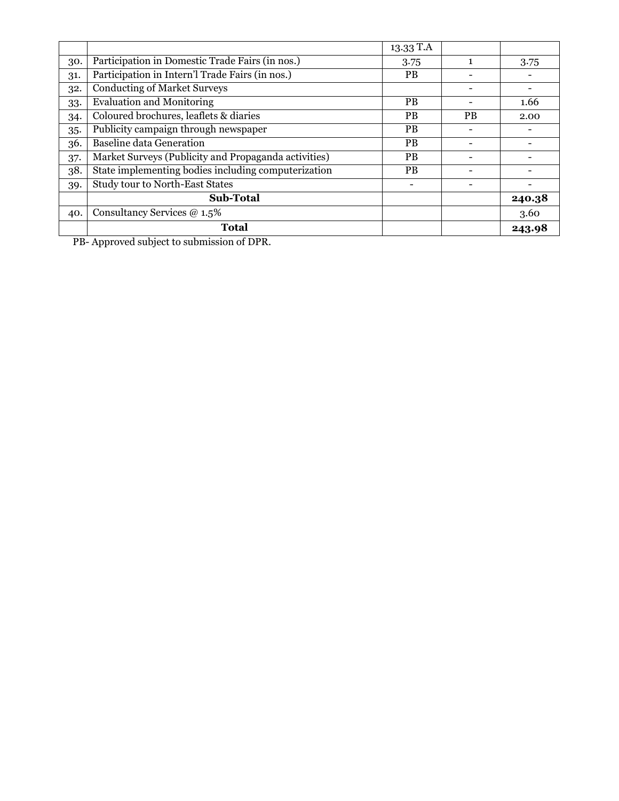|     |                                                      | 13.33 T.A |           |        |
|-----|------------------------------------------------------|-----------|-----------|--------|
| 30. | Participation in Domestic Trade Fairs (in nos.)      | 3.75      |           | 3.75   |
| 31. | Participation in Intern'l Trade Fairs (in nos.)      | <b>PB</b> |           |        |
| 32. | <b>Conducting of Market Surveys</b>                  |           |           |        |
| 33. | <b>Evaluation and Monitoring</b>                     | <b>PB</b> |           | 1.66   |
| 34. | Coloured brochures, leaflets & diaries               | <b>PB</b> | <b>PB</b> | 2.00   |
| 35. | Publicity campaign through newspaper                 | <b>PB</b> |           |        |
| 36. | <b>Baseline data Generation</b>                      | <b>PB</b> |           |        |
| 37. | Market Surveys (Publicity and Propaganda activities) | <b>PB</b> |           |        |
| 38. | State implementing bodies including computerization  | PB.       |           |        |
| 39. | Study tour to North-East States                      |           |           |        |
|     | Sub-Total                                            |           |           | 240.38 |
| 40. | Consultancy Services @ 1.5%                          |           |           | 3.60   |
|     | <b>Total</b>                                         |           |           | 243.98 |

PB- Approved subject to submission of DPR.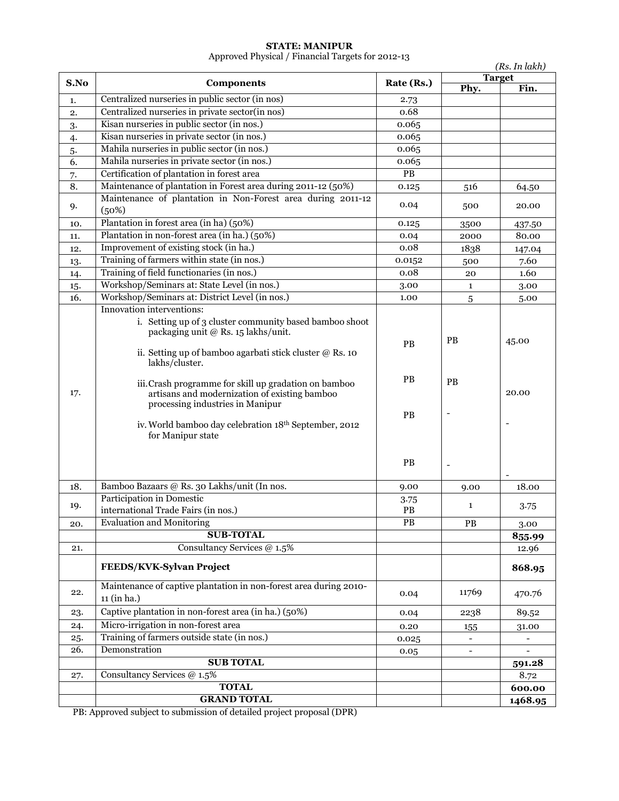#### **STATE: MANIPUR**

Approved Physical / Financial Targets for 2012-13

|          | (Rs. In lakh)                                                                                                                                                                                                            |                       |                             |               |
|----------|--------------------------------------------------------------------------------------------------------------------------------------------------------------------------------------------------------------------------|-----------------------|-----------------------------|---------------|
| S.No     | <b>Components</b>                                                                                                                                                                                                        | Rate (Rs.)            |                             | <b>Target</b> |
| 1.       | Centralized nurseries in public sector (in nos)                                                                                                                                                                          | 2.73                  | Phy.                        | Fin.          |
| 2.       | Centralized nurseries in private sector(in nos)                                                                                                                                                                          | 0.68                  |                             |               |
|          | Kisan nurseries in public sector (in nos.)                                                                                                                                                                               | 0.065                 |                             |               |
| 3.       | Kisan nurseries in private sector (in nos.)                                                                                                                                                                              | 0.065                 |                             |               |
| 4.<br>5. | Mahila nurseries in public sector (in nos.)                                                                                                                                                                              | 0.065                 |                             |               |
| 6.       | Mahila nurseries in private sector (in nos.)                                                                                                                                                                             | 0.065                 |                             |               |
| 7.       | Certification of plantation in forest area                                                                                                                                                                               | $\overline{PB}$       |                             |               |
| 8.       | Maintenance of plantation in Forest area during 2011-12 (50%)                                                                                                                                                            | 0.125                 | 516                         | 64.50         |
|          | Maintenance of plantation in Non-Forest area during 2011-12                                                                                                                                                              |                       |                             |               |
| 9.       | (50%)                                                                                                                                                                                                                    | 0.04                  | 500                         | 20.00         |
| 10.      | Plantation in forest area (in ha) (50%)                                                                                                                                                                                  | 0.125                 | 3500                        | 437.50        |
| 11.      | Plantation in non-forest area (in ha.) (50%)                                                                                                                                                                             | 0.04                  | 2000                        | 80.00         |
| 12.      | Improvement of existing stock (in ha.)                                                                                                                                                                                   | 0.08                  | 1838                        | 147.04        |
| 13.      | Training of farmers within state (in nos.)                                                                                                                                                                               | 0.0152                | 500                         | 7.60          |
| 14.      | Training of field functionaries (in nos.)                                                                                                                                                                                | 0.08                  | 20                          | 1.60          |
| 15.      | Workshop/Seminars at: State Level (in nos.)                                                                                                                                                                              | 3.00                  | 1                           | 3.00          |
| 16.      | Workshop/Seminars at: District Level (in nos.)                                                                                                                                                                           | 1.00                  | 5                           | 5.00          |
|          | Innovation interventions:<br>i. Setting up of 3 cluster community based bamboo shoot<br>packaging unit @ Rs. 15 lakhs/unit.<br>ii. Setting up of bamboo agarbati stick cluster $@$ Rs. 10<br>lakhs/cluster.              | <b>PB</b>             | <b>PB</b>                   | 45.00         |
| 17.      | iii. Crash programme for skill up gradation on bamboo<br>artisans and modernization of existing bamboo<br>processing industries in Manipur<br>iv. World bamboo day celebration 18th September, 2012<br>for Manipur state | PB<br><b>PB</b><br>PB | <b>PB</b><br>$\overline{a}$ | 20.00         |
|          | Bamboo Bazaars @ Rs. 30 Lakhs/unit (In nos.                                                                                                                                                                              |                       |                             |               |
| 18.      | Participation in Domestic                                                                                                                                                                                                | 9.00<br>3.75          | 9.00                        | 18.00         |
| 19.      | international Trade Fairs (in nos.)                                                                                                                                                                                      | PB                    | $\mathbf{1}$                | 3.75          |
| 20.      | <b>Evaluation and Monitoring</b>                                                                                                                                                                                         | PB                    | PB                          | 3.00          |
|          | <b>SUB-TOTAL</b>                                                                                                                                                                                                         |                       |                             | 855.99        |
| 21.      | Consultancy Services @ 1.5%                                                                                                                                                                                              |                       |                             | 12.96         |
|          | FEEDS/KVK-Sylvan Project                                                                                                                                                                                                 |                       |                             | 868.95        |
| 22.      | Maintenance of captive plantation in non-forest area during 2010-<br>11 (in ha.)                                                                                                                                         | 0.04                  | 11769                       | 470.76        |
| 23.      | Captive plantation in non-forest area (in ha.) (50%)                                                                                                                                                                     | 0.04                  | 2238                        | 89.52         |
| 24.      | Micro-irrigation in non-forest area                                                                                                                                                                                      | 0.20                  | 155                         | 31.00         |
| 25.      | Training of farmers outside state (in nos.)                                                                                                                                                                              | 0.025                 |                             |               |
| 26.      | Demonstration                                                                                                                                                                                                            | 0.05                  |                             |               |
|          | <b>SUB TOTAL</b>                                                                                                                                                                                                         |                       |                             | 591.28        |
| 27.      | Consultancy Services @ 1.5%                                                                                                                                                                                              |                       |                             | 8.72          |
|          | <b>TOTAL</b>                                                                                                                                                                                                             |                       |                             | 600.00        |
|          | <b>GRAND TOTAL</b>                                                                                                                                                                                                       |                       |                             | 1468.95       |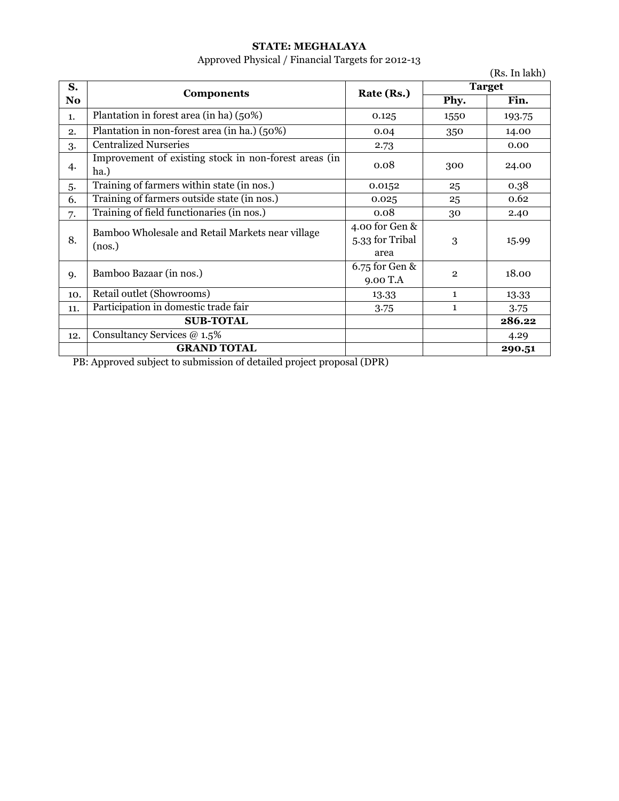### **STATE: MEGHALAYA**

# Approved Physical / Financial Targets for 2012-13

|                |                                                               |                                   |                | (Rs. In lakh) |
|----------------|---------------------------------------------------------------|-----------------------------------|----------------|---------------|
| S.             | <b>Components</b>                                             | Rate (Rs.)                        |                | <b>Target</b> |
| N <sub>o</sub> |                                                               |                                   | Phy.           | Fin.          |
| 1.             | Plantation in forest area (in ha) (50%)                       | 0.125                             | 1550           | 193.75        |
| 2.             | Plantation in non-forest area (in ha.) (50%)                  | 0.04                              | 350            | 14.00         |
| 3.             | <b>Centralized Nurseries</b>                                  | 2.73                              |                | 0.00          |
| 4.             | Improvement of existing stock in non-forest areas (in<br>ha.) | 0.08                              | 300            | 24.00         |
| 5.             | Training of farmers within state (in nos.)                    | 0.0152                            | 25             | 0.38          |
| 6.             | Training of farmers outside state (in nos.)                   | 0.025                             | 25             | 0.62          |
| 7.             | Training of field functionaries (in nos.)                     | 0.08                              | 30             | 2.40          |
| 8.             | Bamboo Wholesale and Retail Markets near village              | 4.00 for Gen &<br>5.33 for Tribal | 3              | 15.99         |
|                | (nos.)                                                        | area                              |                |               |
| 9.             | Bamboo Bazaar (in nos.)                                       | 6.75 for Gen &<br>9.00 T.A        | $\overline{2}$ | 18.00         |
| 10.            | Retail outlet (Showrooms)                                     | 13.33                             | $\mathbf{1}$   | 13.33         |
| 11.            | Participation in domestic trade fair                          | 3.75                              | $\mathbf{1}$   | 3.75          |
|                | <b>SUB-TOTAL</b>                                              |                                   |                | 286.22        |
| 12.            | Consultancy Services @ 1.5%                                   |                                   |                | 4.29          |
|                | <b>GRAND TOTAL</b>                                            |                                   |                | 290.51        |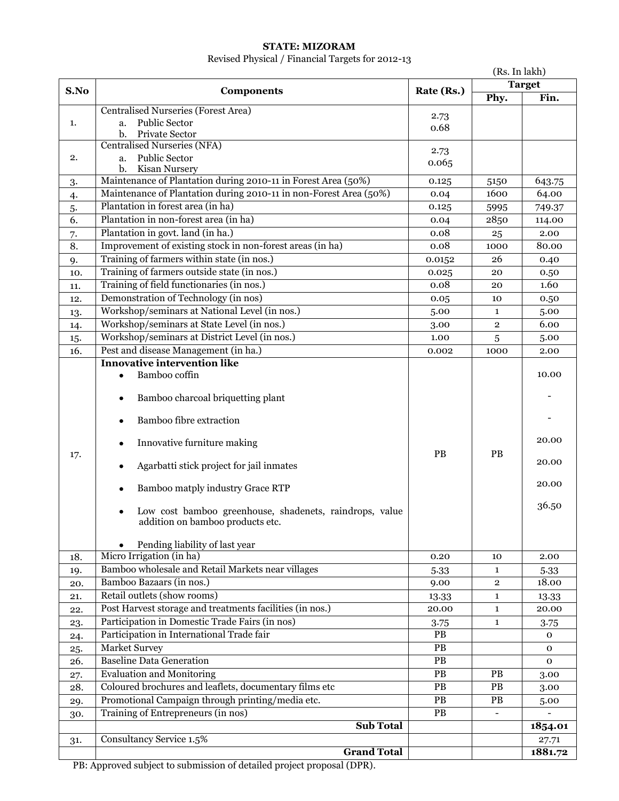### **STATE: MIZORAM**

### Revised Physical / Financial Targets for 2012-13

|      | (Rs. In lakh)                                                                        |               |                |               |
|------|--------------------------------------------------------------------------------------|---------------|----------------|---------------|
| S.No | <b>Components</b>                                                                    | Rate (Rs.)    |                | <b>Target</b> |
|      |                                                                                      |               | Phy.           | Fin.          |
|      | Centralised Nurseries (Forest Area)                                                  | 2.73          |                |               |
| 1.   | <b>Public Sector</b><br>a.                                                           | 0.68          |                |               |
|      | b.<br>Private Sector                                                                 |               |                |               |
|      | <b>Centralised Nurseries (NFA)</b>                                                   | 2.73          |                |               |
| 2.   | <b>Public Sector</b><br>a.                                                           | 0.065         |                |               |
|      | b.<br>Kisan Nursery<br>Maintenance of Plantation during 2010-11 in Forest Area (50%) |               |                |               |
| 3.   | Maintenance of Plantation during 2010-11 in non-Forest Area (50%)                    | 0.125         | 5150<br>1600   | 643.75        |
| 4.   | Plantation in forest area (in ha)                                                    | 0.04          |                | 64.00         |
| 5.   | Plantation in non-forest area (in ha)                                                | 0.125         | 5995           | 749.37        |
| 6.   |                                                                                      | 0.04          | 2850           | 114.00        |
| 7.   | Plantation in govt. land (in ha.)                                                    | 0.08          | 25             | 2.00          |
| 8.   | Improvement of existing stock in non-forest areas (in ha)                            | 0.08          | 1000           | 80.00         |
| 9.   | Training of farmers within state (in nos.)                                           | 0.0152        | 26             | 0.40          |
| 10.  | Training of farmers outside state (in nos.)                                          | 0.025         | 20             | 0.50          |
| 11.  | Training of field functionaries (in nos.)                                            | 0.08          | 20             | 1.60          |
| 12.  | Demonstration of Technology (in nos)                                                 | 0.05          | 10             | 0.50          |
| 13.  | Workshop/seminars at National Level (in nos.)                                        | 5.00          | $\mathbf{1}$   | 5.00          |
| 14.  | Workshop/seminars at State Level (in nos.)                                           | 3.00          | $\overline{2}$ | 6.00          |
| 15.  | Workshop/seminars at District Level (in nos.)                                        | 1.00          | 5              | 5.00          |
| 16.  | Pest and disease Management (in ha.)                                                 | 0.002         | 1000           | 2.00          |
|      | <b>Innovative intervention like</b>                                                  |               |                |               |
|      | Bamboo coffin<br>$\bullet$                                                           |               |                | 10.00         |
|      |                                                                                      |               |                |               |
|      | Bamboo charcoal briquetting plant<br>$\bullet$                                       |               |                |               |
|      | <b>Bamboo fibre extraction</b><br>$\bullet$                                          |               |                |               |
|      |                                                                                      |               |                |               |
|      | Innovative furniture making                                                          |               |                | 20.00         |
| 17.  |                                                                                      | PB            | <b>PB</b>      |               |
|      | Agarbatti stick project for jail inmates<br>٠                                        |               |                | 20.00         |
|      |                                                                                      |               |                | 20.00         |
|      | Bamboo matply industry Grace RTP<br>٠                                                |               |                |               |
|      | Low cost bamboo greenhouse, shadenets, raindrops, value                              |               |                | 36.50         |
|      | addition on bamboo products etc.                                                     |               |                |               |
|      |                                                                                      |               |                |               |
|      | Pending liability of last year                                                       |               |                |               |
| 18.  | Micro Irrigation (in ha)                                                             | 0.20          | 10             | 2.00          |
| 19.  | Bamboo wholesale and Retail Markets near villages                                    | 5.33          | $\mathbf{1}$   | 5.33          |
| 20.  | Bamboo Bazaars (in nos.)                                                             | 9.00          | $\overline{2}$ | 18.00         |
| 21.  | Retail outlets (show rooms)                                                          | 13.33         | $\mathbf{1}$   | 13.33         |
| 22.  | Post Harvest storage and treatments facilities (in nos.)                             | 20.00         | $\mathbf{1}$   | 20.00         |
| 23.  | Participation in Domestic Trade Fairs (in nos)                                       | 3.75          | $\mathbf{1}$   | 3.75          |
| 24.  | Participation in International Trade fair                                            | <b>PB</b>     |                | $\mathbf{O}$  |
| 25.  | <b>Market Survey</b>                                                                 | PB            |                | $\mathbf 0$   |
| 26.  | <b>Baseline Data Generation</b>                                                      | $\mathbf{PB}$ |                | $\mathbf 0$   |
| 27.  | <b>Evaluation and Monitoring</b>                                                     | PB            | PB             | 3.00          |
| 28.  | Coloured brochures and leaflets, documentary films etc                               | $\mathbf{PB}$ | PB             | 3.00          |
| 29.  | Promotional Campaign through printing/media etc.                                     | $\mathbf{PB}$ | $\mathbf{PB}$  | 5.00          |
| 30.  | Training of Entrepreneurs (in nos)                                                   | $\mathbf{PB}$ |                |               |
|      | <b>Sub Total</b>                                                                     |               |                | 1854.01       |
| 31.  | Consultancy Service 1.5%                                                             |               |                | 27.71         |
|      | <b>Grand Total</b>                                                                   |               |                | 1881.72       |
|      |                                                                                      |               |                |               |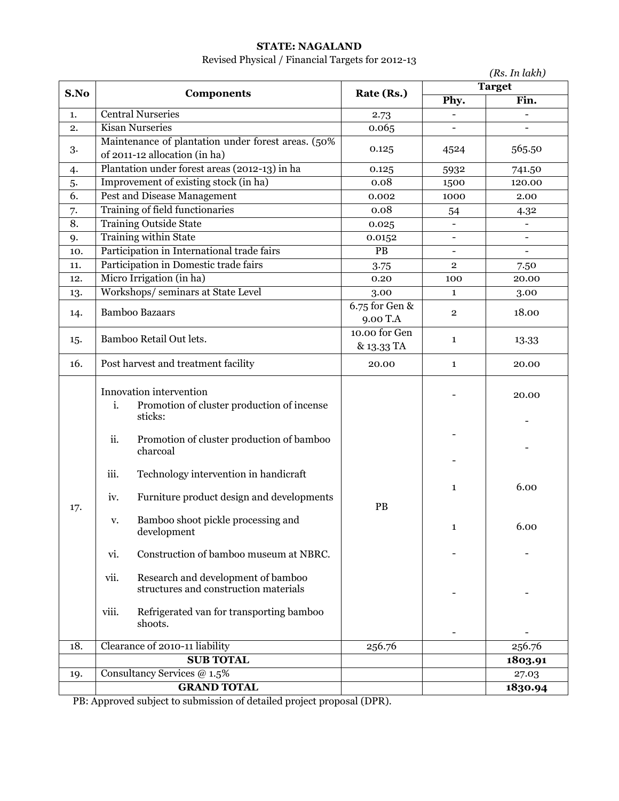### **STATE: NAGALAND**

# Revised Physical / Financial Targets for 2012-13

|      |                                                                                                                                                                                                         |                              |                          | (Rs. In lakh)            |
|------|---------------------------------------------------------------------------------------------------------------------------------------------------------------------------------------------------------|------------------------------|--------------------------|--------------------------|
| S.No | <b>Components</b>                                                                                                                                                                                       | Rate (Rs.)                   |                          | <b>Target</b>            |
|      |                                                                                                                                                                                                         |                              | Phy.                     | Fin.                     |
| 1.   | <b>Central Nurseries</b>                                                                                                                                                                                | 2.73                         |                          |                          |
| 2.   | <b>Kisan Nurseries</b>                                                                                                                                                                                  | 0.065                        |                          |                          |
| 3.   | Maintenance of plantation under forest areas. (50%<br>of 2011-12 allocation (in ha)                                                                                                                     | 0.125                        | 4524                     | 565.50                   |
| 4.   | Plantation under forest areas (2012-13) in ha                                                                                                                                                           | 0.125                        | 5932                     | 741.50                   |
| 5.   | Improvement of existing stock (in ha)                                                                                                                                                                   | 0.08                         | 1500                     | 120.00                   |
| 6.   | Pest and Disease Management                                                                                                                                                                             | 0.002                        | 1000                     | 2.00                     |
| 7.   | Training of field functionaries                                                                                                                                                                         | 0.08                         | 54                       | 4.32                     |
| 8.   | <b>Training Outside State</b>                                                                                                                                                                           | 0.025                        | $\blacksquare$           | $\blacksquare$           |
| 9.   | <b>Training within State</b>                                                                                                                                                                            | 0.0152                       | $\overline{\phantom{a}}$ | $\overline{\phantom{a}}$ |
| 10.  | Participation in International trade fairs                                                                                                                                                              | PB                           |                          | $\blacksquare$           |
| 11.  | Participation in Domestic trade fairs                                                                                                                                                                   | 3.75                         | $\mathbf{2}$             | 7.50                     |
| 12.  | Micro Irrigation (in ha)                                                                                                                                                                                | 0.20                         | 100                      | 20.00                    |
| 13.  | Workshops/seminars at State Level                                                                                                                                                                       | 3.00                         | $\mathbf{1}$             | 3.00                     |
| 14.  | <b>Bamboo Bazaars</b>                                                                                                                                                                                   | $6.75$ for Gen &<br>9.00 T.A | $\overline{2}$           | 18.00                    |
| 15.  | Bamboo Retail Out lets.                                                                                                                                                                                 | 10.00 for Gen<br>& 13.33 TA  | $\mathbf{1}$             | 13.33                    |
| 16.  | Post harvest and treatment facility                                                                                                                                                                     | 20.00                        | $\mathbf{1}$             | 20.00                    |
|      | Innovation intervention<br>i.<br>Promotion of cluster production of incense<br>sticks:<br>ii.<br>Promotion of cluster production of bamboo<br>charcoal<br>Technology intervention in handicraft<br>iii. |                              |                          | 20.00                    |
| 17.  | Furniture product design and developments<br>iv.                                                                                                                                                        | PB                           | $\mathbf{1}$             | 6.00                     |
|      | Bamboo shoot pickle processing and<br>v.<br>development                                                                                                                                                 |                              | $\mathbf{1}$             | 6.00                     |
|      | Construction of bamboo museum at NBRC.<br>vi.                                                                                                                                                           |                              |                          |                          |
|      | vii.<br>Research and development of bamboo<br>structures and construction materials                                                                                                                     |                              |                          |                          |
|      | viii.<br>Refrigerated van for transporting bamboo<br>shoots.                                                                                                                                            |                              |                          |                          |
| 18.  | Clearance of 2010-11 liability                                                                                                                                                                          | 256.76                       |                          | 256.76                   |
|      | <b>SUB TOTAL</b>                                                                                                                                                                                        |                              |                          | 1803.91                  |
| 19.  | Consultancy Services @ 1.5%                                                                                                                                                                             |                              |                          | 27.03                    |
|      | <b>GRAND TOTAL</b>                                                                                                                                                                                      |                              |                          | 1830.94                  |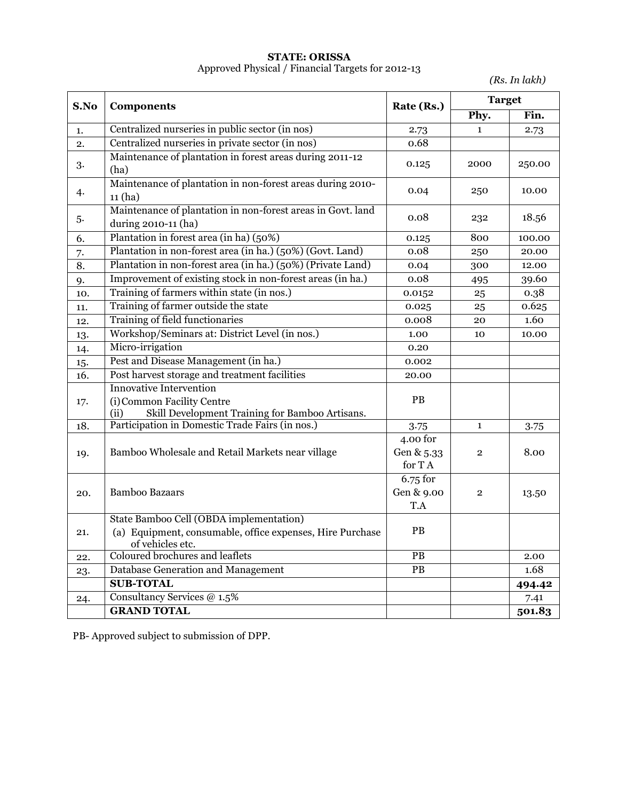#### **STATE: ORISSA** Approved Physical / Financial Targets for 2012-13

*(Rs. In lakh)*

| S.No | <b>Components</b>                                                                                                       | Rate (Rs.)                       | <b>Target</b> |        |
|------|-------------------------------------------------------------------------------------------------------------------------|----------------------------------|---------------|--------|
|      |                                                                                                                         |                                  | Phy.          | Fin.   |
| 1.   | Centralized nurseries in public sector (in nos)                                                                         | 2.73                             | 1             | 2.73   |
| 2.   | Centralized nurseries in private sector (in nos)                                                                        | 0.68                             |               |        |
| 3.   | Maintenance of plantation in forest areas during 2011-12<br>(ha)                                                        | 0.125                            | 2000          | 250.00 |
| 4.   | Maintenance of plantation in non-forest areas during 2010-<br>11(ha)                                                    | 0.04                             | 250           | 10.00  |
| 5.   | Maintenance of plantation in non-forest areas in Govt. land<br>during 2010-11 (ha)                                      | 0.08                             | 232           | 18.56  |
| 6.   | Plantation in forest area (in ha) (50%)                                                                                 | 0.125                            | 800           | 100.00 |
| 7.   | Plantation in non-forest area (in ha.) (50%) (Govt. Land)                                                               | 0.08                             | 250           | 20.00  |
| 8.   | Plantation in non-forest area (in ha.) (50%) (Private Land)                                                             | 0.04                             | 300           | 12.00  |
| 9.   | Improvement of existing stock in non-forest areas (in ha.)                                                              | 0.08                             | 495           | 39.60  |
| 10.  | Training of farmers within state (in nos.)                                                                              | 0.0152                           | 25            | 0.38   |
| 11.  | Training of farmer outside the state                                                                                    | 0.025                            | 25            | 0.625  |
| 12.  | Training of field functionaries                                                                                         | 0.008                            | 20            | 1.60   |
| 13.  | Workshop/Seminars at: District Level (in nos.)                                                                          | 1.00                             | 10            | 10.00  |
| 14.  | Micro-irrigation                                                                                                        | 0.20                             |               |        |
| 15.  | Pest and Disease Management (in ha.)                                                                                    | 0.002                            |               |        |
| 16.  | Post harvest storage and treatment facilities                                                                           | 20.00                            |               |        |
| 17.  | <b>Innovative Intervention</b><br>(i) Common Facility Centre<br>Skill Development Training for Bamboo Artisans.<br>(ii) | PB                               |               |        |
| 18.  | Participation in Domestic Trade Fairs (in nos.)                                                                         | 3.75                             | $\mathbf{1}$  | 3.75   |
| 19.  | Bamboo Wholesale and Retail Markets near village                                                                        | 4.00 for<br>Gen & 5.33<br>for TA | $\mathbf{2}$  | 8.00   |
| 20.  | <b>Bamboo Bazaars</b>                                                                                                   | 6.75 for<br>Gen & 9.00<br>T.A    | $\mathbf{2}$  | 13.50  |
|      | State Bamboo Cell (OBDA implementation)                                                                                 |                                  |               |        |
| 21.  | (a) Equipment, consumable, office expenses, Hire Purchase<br>of vehicles etc.                                           | PB                               |               |        |
| 22.  | Coloured brochures and leaflets                                                                                         | PB                               |               | 2.00   |
| 23.  | Database Generation and Management                                                                                      | $\mathbf{PB}$                    |               | 1.68   |
|      | <b>SUB-TOTAL</b>                                                                                                        |                                  |               | 494.42 |
| 24.  | Consultancy Services @ 1.5%                                                                                             |                                  |               | 7.41   |
|      | <b>GRAND TOTAL</b>                                                                                                      |                                  |               | 501.83 |

PB- Approved subject to submission of DPP.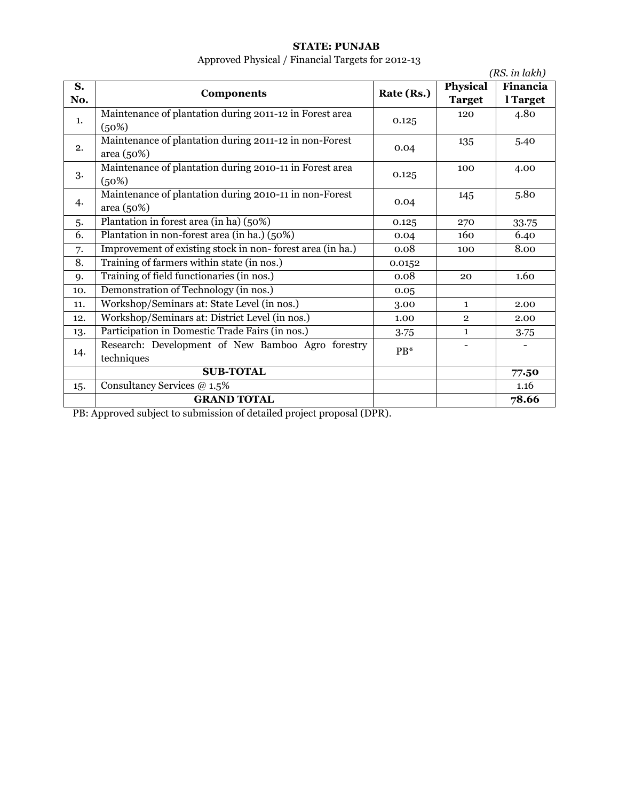## **STATE: PUNJAB**

# Approved Physical / Financial Targets for 2012-13

|     | $\mathcal{L}$                                                        |            |                 | (RS. in lakh) |
|-----|----------------------------------------------------------------------|------------|-----------------|---------------|
| S.  | <b>Components</b>                                                    | Rate (Rs.) | <b>Physical</b> | Financia      |
| No. |                                                                      |            | <b>Target</b>   | l Target      |
| 1.  | Maintenance of plantation during 2011-12 in Forest area<br>(50%)     | 0.125      | 120             | 4.80          |
| 2.  | Maintenance of plantation during 2011-12 in non-Forest<br>area (50%) | 0.04       | 135             | 5.40          |
| 3.  | Maintenance of plantation during 2010-11 in Forest area<br>(50%)     | 0.125      | 100             | 4.00          |
| 4.  | Maintenance of plantation during 2010-11 in non-Forest<br>area (50%) | 0.04       | 145             | 5.80          |
| 5.  | Plantation in forest area (in ha) (50%)                              | 0.125      | 270             | 33.75         |
| 6.  | Plantation in non-forest area (in ha.) (50%)                         | 0.04       | 160             | 6.40          |
| 7.  | Improvement of existing stock in non-forest area (in ha.)            | 0.08       | 100             | 8.00          |
| 8.  | Training of farmers within state (in nos.)                           | 0.0152     |                 |               |
| 9.  | Training of field functionaries (in nos.)                            | 0.08       | 20              | 1.60          |
| 10. | Demonstration of Technology (in nos.)                                | 0.05       |                 |               |
| 11. | Workshop/Seminars at: State Level (in nos.)                          | 3.00       | $\mathbf{1}$    | 2.00          |
| 12. | Workshop/Seminars at: District Level (in nos.)                       | 1.00       | $\overline{2}$  | 2.00          |
| 13. | Participation in Domestic Trade Fairs (in nos.)                      | 3.75       | $\mathbf{1}$    | 3.75          |
| 14. | Research: Development of New Bamboo Agro forestry<br>techniques      | $PB*$      |                 |               |
|     | <b>SUB-TOTAL</b>                                                     |            |                 | 77.50         |
| 15. | Consultancy Services @ 1.5%                                          |            |                 | 1.16          |
|     | <b>GRAND TOTAL</b>                                                   |            |                 | 78.66         |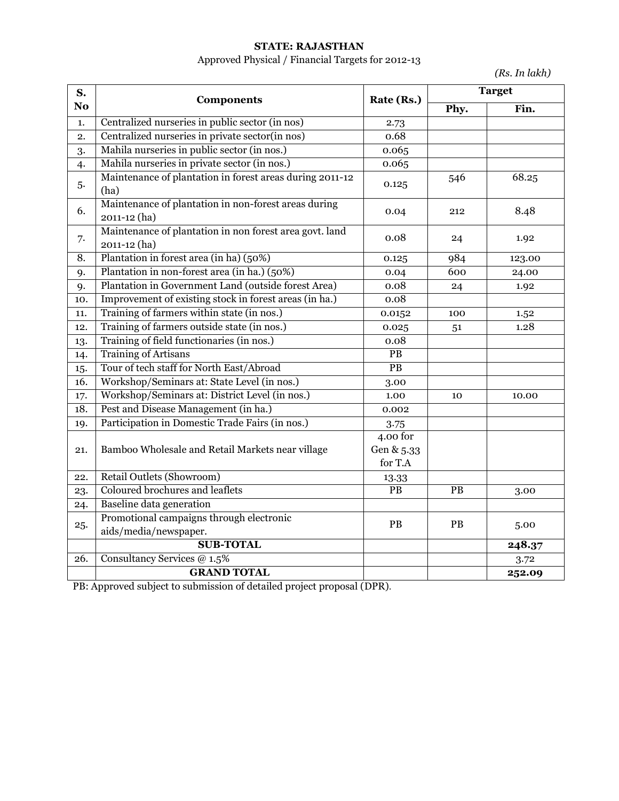### **STATE: RAJASTHAN**

# Approved Physical / Financial Targets for 2012-13

*(Rs. In lakh)*

| S.             | <b>Components</b>                                                       | Rate (Rs.)                        |                 | <b>Target</b> |
|----------------|-------------------------------------------------------------------------|-----------------------------------|-----------------|---------------|
| N <sub>o</sub> |                                                                         |                                   | Phy.            | Fin.          |
| 1.             | Centralized nurseries in public sector (in nos)                         | 2.73                              |                 |               |
| 2.             | Centralized nurseries in private sector(in nos)                         | 0.68                              |                 |               |
| 3.             | Mahila nurseries in public sector (in nos.)                             | 0.065                             |                 |               |
| 4.             | Mahila nurseries in private sector (in nos.)                            | 0.065                             |                 |               |
| 5.             | Maintenance of plantation in forest areas during 2011-12<br>(ha)        | 0.125                             | 546             | 68.25         |
| 6.             | Maintenance of plantation in non-forest areas during<br>2011-12 (ha)    | 0.04                              | 212             | 8.48          |
| 7.             | Maintenance of plantation in non forest area govt. land<br>2011-12 (ha) | 0.08                              | 24              | 1.92          |
| 8.             | Plantation in forest area (in ha) (50%)                                 | 0.125                             | 984             | 123.00        |
| 9.             | Plantation in non-forest area (in ha.) (50%)                            | 0.04                              | 600             | 24.00         |
| 9.             | Plantation in Government Land (outside forest Area)                     | 0.08                              | 24              | 1.92          |
| 10.            | Improvement of existing stock in forest areas (in ha.)                  | 0.08                              |                 |               |
| 11.            | Training of farmers within state (in nos.)                              | 0.0152                            | 100             | 1.52          |
| 12.            | Training of farmers outside state (in nos.)                             | 0.025                             | 51              | 1.28          |
| 13.            | Training of field functionaries (in nos.)                               | 0.08                              |                 |               |
| 14.            | <b>Training of Artisans</b>                                             | PB                                |                 |               |
| 15.            | Tour of tech staff for North East/Abroad                                | $\overline{PB}$                   |                 |               |
| 16.            | Workshop/Seminars at: State Level (in nos.)                             | 3.00                              |                 |               |
| 17.            | Workshop/Seminars at: District Level (in nos.)                          | 1.00                              | 10              | 10.00         |
| 18.            | Pest and Disease Management (in ha.)                                    | 0.002                             |                 |               |
| 19.            | Participation in Domestic Trade Fairs (in nos.)                         | 3.75                              |                 |               |
| 21.            | Bamboo Wholesale and Retail Markets near village                        | 4.00 for<br>Gen & 5.33<br>for T.A |                 |               |
| 22.            | Retail Outlets (Showroom)                                               | 13.33                             |                 |               |
| 23.            | Coloured brochures and leaflets                                         | $\overline{PB}$                   | $\overline{PB}$ | 3.00          |
| 24.            | Baseline data generation                                                |                                   |                 |               |
| 25.            | Promotional campaigns through electronic<br>aids/media/newspaper.       | PB                                | PB              | 5.00          |
|                | <b>SUB-TOTAL</b>                                                        |                                   |                 | 248.37        |
| 26.            | Consultancy Services @ 1.5%                                             |                                   |                 | 3.72          |
|                | <b>GRAND TOTAL</b>                                                      |                                   |                 | 252.09        |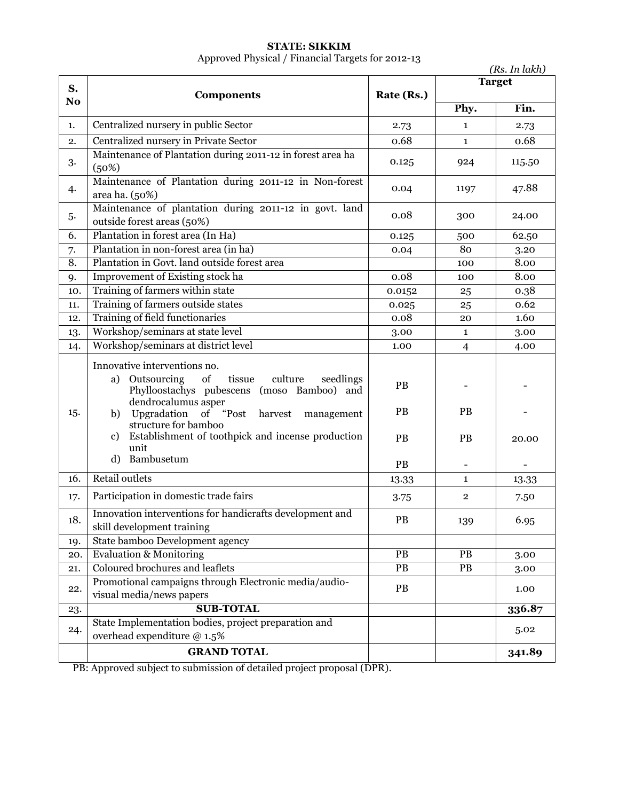### **STATE: SIKKIM** Approved Physical / Financial Targets for 2012-13

| <b>Target</b><br>S.<br>Rate (Rs.)<br><b>Components</b><br>N <sub>o</sub><br>Fin.<br>Phy.<br>Centralized nursery in public Sector<br>1.<br>2.73<br>$\mathbf{1}$<br>2.73<br>Centralized nursery in Private Sector<br>0.68<br>0.68<br>2.<br>$\mathbf{1}$<br>Maintenance of Plantation during 2011-12 in forest area ha<br>3.<br>0.125<br>924<br>115.50<br>(50%)<br>Maintenance of Plantation during 2011-12 in Non-forest<br>47.88<br>4.<br>0.04<br>1197<br>area ha. (50%)<br>Maintenance of plantation during 2011-12 in govt. land<br>0.08<br>5.<br>300<br>24.00<br>outside forest areas (50%)<br>Plantation in forest area (In Ha)<br>6.<br>62.50<br>0.125<br>500<br>Plantation in non-forest area (in ha)<br>80<br>3.20<br>0.04<br>7.<br>Plantation in Govt. land outside forest area<br>8.<br>8.00<br>100<br>Improvement of Existing stock ha<br>0.08<br>8.00<br>9.<br>100<br>Training of farmers within state<br>0.38<br>0.0152<br>10.<br>25<br>Training of farmers outside states<br>0.62<br>0.025<br>25<br>11.<br>Training of field functionaries<br>0.08<br>1.60<br>12.<br>20<br>Workshop/seminars at state level<br>13.<br>3.00<br>$\mathbf{1}$<br>3.00<br>Workshop/seminars at district level<br>14.<br>1.00<br>$\overline{4}$<br>4.00<br>Innovative interventions no.<br>tissue<br>Outsourcing of<br>culture<br>seedlings<br>a)<br>PB<br>Phylloostachys pubescens (moso Bamboo) and<br>dendrocalumus asper<br>PB<br><b>PB</b><br>15.<br>b) Upgradation of "Post harvest management<br>structure for bamboo<br>Establishment of toothpick and incense production<br>c)<br><b>PB</b><br>PB<br>20.00<br>unit<br>d) Bambusetum<br>PB<br>$\blacksquare$<br><b>Retail outlets</b><br>16.<br>$\mathbf{1}$<br>13.33<br>13.33<br>Participation in domestic trade fairs<br>$\overline{\mathbf{2}}$<br>17.<br>3.75<br>7.50<br>Innovation interventions for handicrafts development and<br>PB<br>6.95<br>18.<br>139<br>skill development training<br>State bamboo Development agency<br>19.<br><b>Evaluation &amp; Monitoring</b><br><b>PB</b><br><b>PB</b><br>20.<br>3.00<br>Coloured brochures and leaflets<br>$\overline{PB}$<br>$\overline{PB}$<br>21.<br>3.00<br>Promotional campaigns through Electronic media/audio-<br>PB<br>1.00<br>22.<br>visual media/news papers<br><b>SUB-TOTAL</b><br>336.87<br>23.<br>State Implementation bodies, project preparation and<br>5.02<br>24.<br>overhead expenditure @ 1.5%<br><b>GRAND TOTAL</b><br>341.89 |  |  | (Rs. In lakh) |
|------------------------------------------------------------------------------------------------------------------------------------------------------------------------------------------------------------------------------------------------------------------------------------------------------------------------------------------------------------------------------------------------------------------------------------------------------------------------------------------------------------------------------------------------------------------------------------------------------------------------------------------------------------------------------------------------------------------------------------------------------------------------------------------------------------------------------------------------------------------------------------------------------------------------------------------------------------------------------------------------------------------------------------------------------------------------------------------------------------------------------------------------------------------------------------------------------------------------------------------------------------------------------------------------------------------------------------------------------------------------------------------------------------------------------------------------------------------------------------------------------------------------------------------------------------------------------------------------------------------------------------------------------------------------------------------------------------------------------------------------------------------------------------------------------------------------------------------------------------------------------------------------------------------------------------------------------------------------------------------------------------------------------------------------------------------------------------------------------------------------------------------------------------------------------------------------------------------------------------------------------------------------------------------------------------------------------------------------------------------------------------------------------------------------------------------------------|--|--|---------------|
|                                                                                                                                                                                                                                                                                                                                                                                                                                                                                                                                                                                                                                                                                                                                                                                                                                                                                                                                                                                                                                                                                                                                                                                                                                                                                                                                                                                                                                                                                                                                                                                                                                                                                                                                                                                                                                                                                                                                                                                                                                                                                                                                                                                                                                                                                                                                                                                                                                                      |  |  |               |
|                                                                                                                                                                                                                                                                                                                                                                                                                                                                                                                                                                                                                                                                                                                                                                                                                                                                                                                                                                                                                                                                                                                                                                                                                                                                                                                                                                                                                                                                                                                                                                                                                                                                                                                                                                                                                                                                                                                                                                                                                                                                                                                                                                                                                                                                                                                                                                                                                                                      |  |  |               |
|                                                                                                                                                                                                                                                                                                                                                                                                                                                                                                                                                                                                                                                                                                                                                                                                                                                                                                                                                                                                                                                                                                                                                                                                                                                                                                                                                                                                                                                                                                                                                                                                                                                                                                                                                                                                                                                                                                                                                                                                                                                                                                                                                                                                                                                                                                                                                                                                                                                      |  |  |               |
|                                                                                                                                                                                                                                                                                                                                                                                                                                                                                                                                                                                                                                                                                                                                                                                                                                                                                                                                                                                                                                                                                                                                                                                                                                                                                                                                                                                                                                                                                                                                                                                                                                                                                                                                                                                                                                                                                                                                                                                                                                                                                                                                                                                                                                                                                                                                                                                                                                                      |  |  |               |
|                                                                                                                                                                                                                                                                                                                                                                                                                                                                                                                                                                                                                                                                                                                                                                                                                                                                                                                                                                                                                                                                                                                                                                                                                                                                                                                                                                                                                                                                                                                                                                                                                                                                                                                                                                                                                                                                                                                                                                                                                                                                                                                                                                                                                                                                                                                                                                                                                                                      |  |  |               |
|                                                                                                                                                                                                                                                                                                                                                                                                                                                                                                                                                                                                                                                                                                                                                                                                                                                                                                                                                                                                                                                                                                                                                                                                                                                                                                                                                                                                                                                                                                                                                                                                                                                                                                                                                                                                                                                                                                                                                                                                                                                                                                                                                                                                                                                                                                                                                                                                                                                      |  |  |               |
|                                                                                                                                                                                                                                                                                                                                                                                                                                                                                                                                                                                                                                                                                                                                                                                                                                                                                                                                                                                                                                                                                                                                                                                                                                                                                                                                                                                                                                                                                                                                                                                                                                                                                                                                                                                                                                                                                                                                                                                                                                                                                                                                                                                                                                                                                                                                                                                                                                                      |  |  |               |
|                                                                                                                                                                                                                                                                                                                                                                                                                                                                                                                                                                                                                                                                                                                                                                                                                                                                                                                                                                                                                                                                                                                                                                                                                                                                                                                                                                                                                                                                                                                                                                                                                                                                                                                                                                                                                                                                                                                                                                                                                                                                                                                                                                                                                                                                                                                                                                                                                                                      |  |  |               |
|                                                                                                                                                                                                                                                                                                                                                                                                                                                                                                                                                                                                                                                                                                                                                                                                                                                                                                                                                                                                                                                                                                                                                                                                                                                                                                                                                                                                                                                                                                                                                                                                                                                                                                                                                                                                                                                                                                                                                                                                                                                                                                                                                                                                                                                                                                                                                                                                                                                      |  |  |               |
|                                                                                                                                                                                                                                                                                                                                                                                                                                                                                                                                                                                                                                                                                                                                                                                                                                                                                                                                                                                                                                                                                                                                                                                                                                                                                                                                                                                                                                                                                                                                                                                                                                                                                                                                                                                                                                                                                                                                                                                                                                                                                                                                                                                                                                                                                                                                                                                                                                                      |  |  |               |
|                                                                                                                                                                                                                                                                                                                                                                                                                                                                                                                                                                                                                                                                                                                                                                                                                                                                                                                                                                                                                                                                                                                                                                                                                                                                                                                                                                                                                                                                                                                                                                                                                                                                                                                                                                                                                                                                                                                                                                                                                                                                                                                                                                                                                                                                                                                                                                                                                                                      |  |  |               |
|                                                                                                                                                                                                                                                                                                                                                                                                                                                                                                                                                                                                                                                                                                                                                                                                                                                                                                                                                                                                                                                                                                                                                                                                                                                                                                                                                                                                                                                                                                                                                                                                                                                                                                                                                                                                                                                                                                                                                                                                                                                                                                                                                                                                                                                                                                                                                                                                                                                      |  |  |               |
|                                                                                                                                                                                                                                                                                                                                                                                                                                                                                                                                                                                                                                                                                                                                                                                                                                                                                                                                                                                                                                                                                                                                                                                                                                                                                                                                                                                                                                                                                                                                                                                                                                                                                                                                                                                                                                                                                                                                                                                                                                                                                                                                                                                                                                                                                                                                                                                                                                                      |  |  |               |
|                                                                                                                                                                                                                                                                                                                                                                                                                                                                                                                                                                                                                                                                                                                                                                                                                                                                                                                                                                                                                                                                                                                                                                                                                                                                                                                                                                                                                                                                                                                                                                                                                                                                                                                                                                                                                                                                                                                                                                                                                                                                                                                                                                                                                                                                                                                                                                                                                                                      |  |  |               |
|                                                                                                                                                                                                                                                                                                                                                                                                                                                                                                                                                                                                                                                                                                                                                                                                                                                                                                                                                                                                                                                                                                                                                                                                                                                                                                                                                                                                                                                                                                                                                                                                                                                                                                                                                                                                                                                                                                                                                                                                                                                                                                                                                                                                                                                                                                                                                                                                                                                      |  |  |               |
|                                                                                                                                                                                                                                                                                                                                                                                                                                                                                                                                                                                                                                                                                                                                                                                                                                                                                                                                                                                                                                                                                                                                                                                                                                                                                                                                                                                                                                                                                                                                                                                                                                                                                                                                                                                                                                                                                                                                                                                                                                                                                                                                                                                                                                                                                                                                                                                                                                                      |  |  |               |
|                                                                                                                                                                                                                                                                                                                                                                                                                                                                                                                                                                                                                                                                                                                                                                                                                                                                                                                                                                                                                                                                                                                                                                                                                                                                                                                                                                                                                                                                                                                                                                                                                                                                                                                                                                                                                                                                                                                                                                                                                                                                                                                                                                                                                                                                                                                                                                                                                                                      |  |  |               |
|                                                                                                                                                                                                                                                                                                                                                                                                                                                                                                                                                                                                                                                                                                                                                                                                                                                                                                                                                                                                                                                                                                                                                                                                                                                                                                                                                                                                                                                                                                                                                                                                                                                                                                                                                                                                                                                                                                                                                                                                                                                                                                                                                                                                                                                                                                                                                                                                                                                      |  |  |               |
|                                                                                                                                                                                                                                                                                                                                                                                                                                                                                                                                                                                                                                                                                                                                                                                                                                                                                                                                                                                                                                                                                                                                                                                                                                                                                                                                                                                                                                                                                                                                                                                                                                                                                                                                                                                                                                                                                                                                                                                                                                                                                                                                                                                                                                                                                                                                                                                                                                                      |  |  |               |
|                                                                                                                                                                                                                                                                                                                                                                                                                                                                                                                                                                                                                                                                                                                                                                                                                                                                                                                                                                                                                                                                                                                                                                                                                                                                                                                                                                                                                                                                                                                                                                                                                                                                                                                                                                                                                                                                                                                                                                                                                                                                                                                                                                                                                                                                                                                                                                                                                                                      |  |  |               |
|                                                                                                                                                                                                                                                                                                                                                                                                                                                                                                                                                                                                                                                                                                                                                                                                                                                                                                                                                                                                                                                                                                                                                                                                                                                                                                                                                                                                                                                                                                                                                                                                                                                                                                                                                                                                                                                                                                                                                                                                                                                                                                                                                                                                                                                                                                                                                                                                                                                      |  |  |               |
|                                                                                                                                                                                                                                                                                                                                                                                                                                                                                                                                                                                                                                                                                                                                                                                                                                                                                                                                                                                                                                                                                                                                                                                                                                                                                                                                                                                                                                                                                                                                                                                                                                                                                                                                                                                                                                                                                                                                                                                                                                                                                                                                                                                                                                                                                                                                                                                                                                                      |  |  |               |
|                                                                                                                                                                                                                                                                                                                                                                                                                                                                                                                                                                                                                                                                                                                                                                                                                                                                                                                                                                                                                                                                                                                                                                                                                                                                                                                                                                                                                                                                                                                                                                                                                                                                                                                                                                                                                                                                                                                                                                                                                                                                                                                                                                                                                                                                                                                                                                                                                                                      |  |  |               |
|                                                                                                                                                                                                                                                                                                                                                                                                                                                                                                                                                                                                                                                                                                                                                                                                                                                                                                                                                                                                                                                                                                                                                                                                                                                                                                                                                                                                                                                                                                                                                                                                                                                                                                                                                                                                                                                                                                                                                                                                                                                                                                                                                                                                                                                                                                                                                                                                                                                      |  |  |               |
|                                                                                                                                                                                                                                                                                                                                                                                                                                                                                                                                                                                                                                                                                                                                                                                                                                                                                                                                                                                                                                                                                                                                                                                                                                                                                                                                                                                                                                                                                                                                                                                                                                                                                                                                                                                                                                                                                                                                                                                                                                                                                                                                                                                                                                                                                                                                                                                                                                                      |  |  |               |
|                                                                                                                                                                                                                                                                                                                                                                                                                                                                                                                                                                                                                                                                                                                                                                                                                                                                                                                                                                                                                                                                                                                                                                                                                                                                                                                                                                                                                                                                                                                                                                                                                                                                                                                                                                                                                                                                                                                                                                                                                                                                                                                                                                                                                                                                                                                                                                                                                                                      |  |  |               |
|                                                                                                                                                                                                                                                                                                                                                                                                                                                                                                                                                                                                                                                                                                                                                                                                                                                                                                                                                                                                                                                                                                                                                                                                                                                                                                                                                                                                                                                                                                                                                                                                                                                                                                                                                                                                                                                                                                                                                                                                                                                                                                                                                                                                                                                                                                                                                                                                                                                      |  |  |               |
|                                                                                                                                                                                                                                                                                                                                                                                                                                                                                                                                                                                                                                                                                                                                                                                                                                                                                                                                                                                                                                                                                                                                                                                                                                                                                                                                                                                                                                                                                                                                                                                                                                                                                                                                                                                                                                                                                                                                                                                                                                                                                                                                                                                                                                                                                                                                                                                                                                                      |  |  |               |
| DP. Approved subject to submission of detailed project proposal (DDP)                                                                                                                                                                                                                                                                                                                                                                                                                                                                                                                                                                                                                                                                                                                                                                                                                                                                                                                                                                                                                                                                                                                                                                                                                                                                                                                                                                                                                                                                                                                                                                                                                                                                                                                                                                                                                                                                                                                                                                                                                                                                                                                                                                                                                                                                                                                                                                                |  |  |               |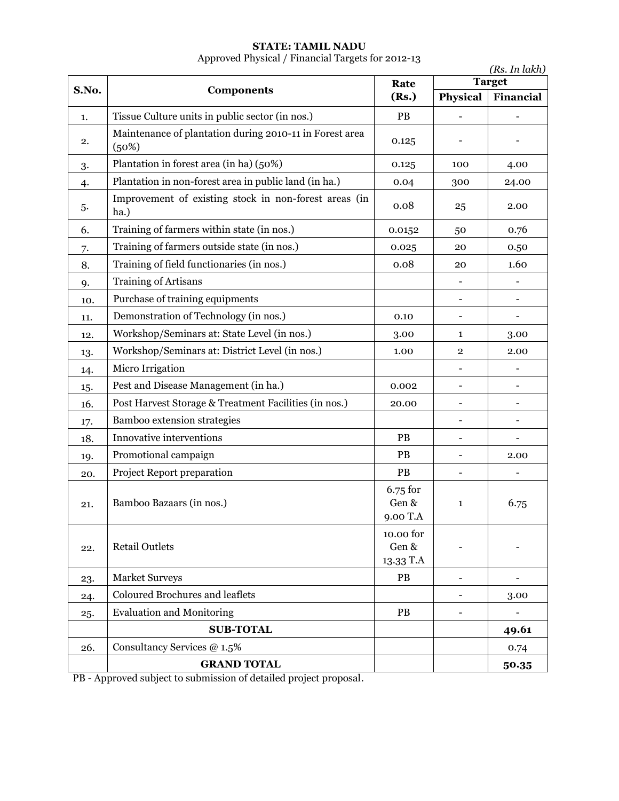#### **STATE: TAMIL NADU** Approved Physical / Financial Targets for 2012-13

|       | (Rs. In lakh)                                                    |                                    |                          |               |
|-------|------------------------------------------------------------------|------------------------------------|--------------------------|---------------|
| S.No. | Components                                                       | Rate                               |                          | <b>Target</b> |
|       |                                                                  | (Rs.)                              | Physical                 | Financial     |
| 1.    | Tissue Culture units in public sector (in nos.)                  | PB                                 |                          |               |
| 2.    | Maintenance of plantation during 2010-11 in Forest area<br>(50%) | 0.125                              |                          |               |
| 3.    | Plantation in forest area (in ha) (50%)                          | 0.125                              | 100                      | 4.00          |
| 4.    | Plantation in non-forest area in public land (in ha.)            | 0.04                               | 300                      | 24.00         |
| 5.    | Improvement of existing stock in non-forest areas (in<br>ha.)    | 0.08                               | 25                       | 2.00          |
| 6.    | Training of farmers within state (in nos.)                       | 0.0152                             | 50                       | 0.76          |
| 7.    | Training of farmers outside state (in nos.)                      | 0.025                              | 20                       | 0.50          |
| 8.    | Training of field functionaries (in nos.)                        | 0.08                               | 20                       | 1.60          |
| 9.    | Training of Artisans                                             |                                    | $\overline{\phantom{0}}$ |               |
| 10.   | Purchase of training equipments                                  |                                    |                          |               |
| 11.   | Demonstration of Technology (in nos.)                            | 0.10                               |                          |               |
| 12.   | Workshop/Seminars at: State Level (in nos.)                      | 3.00                               | $\mathbf{1}$             | 3.00          |
| 13.   | Workshop/Seminars at: District Level (in nos.)                   | 1.00                               | $\overline{2}$           | 2.00          |
| 14.   | Micro Irrigation                                                 |                                    |                          |               |
| 15.   | Pest and Disease Management (in ha.)                             | 0.002                              | -                        |               |
| 16.   | Post Harvest Storage & Treatment Facilities (in nos.)            | 20.00                              |                          |               |
| 17.   | Bamboo extension strategies                                      |                                    |                          |               |
| 18.   | Innovative interventions                                         | PB                                 |                          |               |
| 19.   | Promotional campaign                                             | PB                                 |                          | 2.00          |
| 20.   | Project Report preparation                                       | PB                                 |                          |               |
| 21.   | Bamboo Bazaars (in nos.)                                         | 6.75 for<br>Gen &<br>9.00 T.A      | $\mathbf{1}$             | 6.75          |
| 22.   | <b>Retail Outlets</b>                                            | 10.00 for<br>Gen $\&$<br>13.33 T.A |                          |               |
| 23.   | Market Surveys                                                   | PB                                 |                          |               |
| 24.   | Coloured Brochures and leaflets                                  |                                    |                          | 3.00          |
| 25.   | <b>Evaluation and Monitoring</b>                                 | PB                                 |                          |               |
|       | <b>SUB-TOTAL</b>                                                 |                                    |                          | 49.61         |
| 26.   | Consultancy Services @ 1.5%                                      |                                    |                          | 0.74          |
|       | <b>GRAND TOTAL</b>                                               |                                    |                          | 50.35         |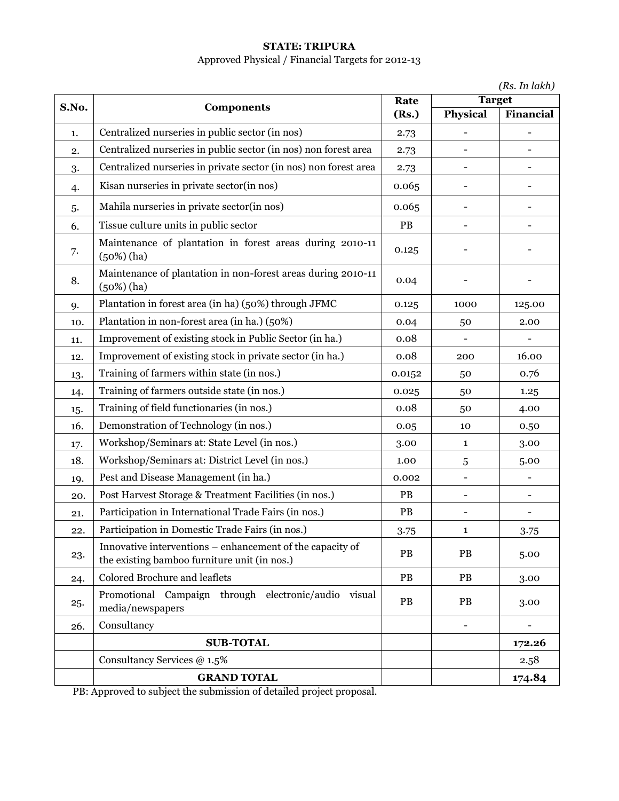# **STATE: TRIPURA**

# Approved Physical / Financial Targets for 2012-13

|  | (Rs. In lakh) |
|--|---------------|
|  |               |

| S.No. |                                                                                                           | Rate<br>(Rs.) | <b>Target</b>     |           |
|-------|-----------------------------------------------------------------------------------------------------------|---------------|-------------------|-----------|
|       | Components                                                                                                |               | Physical          | Financial |
| 1.    | Centralized nurseries in public sector (in nos)                                                           | 2.73          |                   |           |
| 2.    | Centralized nurseries in public sector (in nos) non forest area                                           | 2.73          |                   |           |
| 3.    | Centralized nurseries in private sector (in nos) non forest area                                          | 2.73          |                   |           |
| 4.    | Kisan nurseries in private sector(in nos)                                                                 | 0.065         |                   |           |
| 5.    | Mahila nurseries in private sector(in nos)                                                                | 0.065         |                   |           |
| 6.    | Tissue culture units in public sector                                                                     | PB            |                   |           |
| 7.    | Maintenance of plantation in forest areas during 2010-11<br>$(50%)$ (ha)                                  | 0.125         |                   |           |
| 8.    | Maintenance of plantation in non-forest areas during 2010-11<br>$(50%)$ (ha)                              | 0.04          |                   |           |
| 9.    | Plantation in forest area (in ha) (50%) through JFMC                                                      | 0.125         | 1000              | 125.00    |
| 10.   | Plantation in non-forest area (in ha.) (50%)                                                              | 0.04          | 50                | 2.00      |
| 11.   | Improvement of existing stock in Public Sector (in ha.)                                                   | 0.08          |                   |           |
| 12.   | Improvement of existing stock in private sector (in ha.)                                                  | 0.08          | 200               | 16.00     |
| 13.   | Training of farmers within state (in nos.)                                                                | 0.0152        | 50                | 0.76      |
| 14.   | Training of farmers outside state (in nos.)                                                               | 0.025         | 50                | 1.25      |
| 15.   | Training of field functionaries (in nos.)                                                                 | 0.08          | 50                | 4.00      |
| 16.   | Demonstration of Technology (in nos.)                                                                     | 0.05          | 10                | 0.50      |
| 17.   | Workshop/Seminars at: State Level (in nos.)                                                               | 3.00          | 1                 | 3.00      |
| 18.   | Workshop/Seminars at: District Level (in nos.)                                                            | 1.00          | 5                 | 5.00      |
| 19.   | Pest and Disease Management (in ha.)                                                                      | 0.002         | $\qquad \qquad -$ |           |
| 20.   | Post Harvest Storage & Treatment Facilities (in nos.)                                                     | PB            |                   |           |
| 21.   | Participation in International Trade Fairs (in nos.)                                                      | PB            |                   |           |
| 22.   | Participation in Domestic Trade Fairs (in nos.)                                                           | 3.75          | 1                 | 3.75      |
| 23.   | Innovative interventions – enhancement of the capacity of<br>the existing bamboo furniture unit (in nos.) | PB            | PB                | 5.00      |
| 24.   | Colored Brochure and leaflets                                                                             | PB            | PB                | 3.00      |
| 25.   | Promotional Campaign through electronic/audio<br>visual<br>media/newspapers                               | PB            | PB                | 3.00      |
| 26.   | Consultancy                                                                                               |               |                   |           |
|       | <b>SUB-TOTAL</b>                                                                                          |               |                   | 172.26    |
|       | Consultancy Services @ 1.5%                                                                               |               |                   | 2.58      |
|       | <b>GRAND TOTAL</b>                                                                                        |               |                   | 174.84    |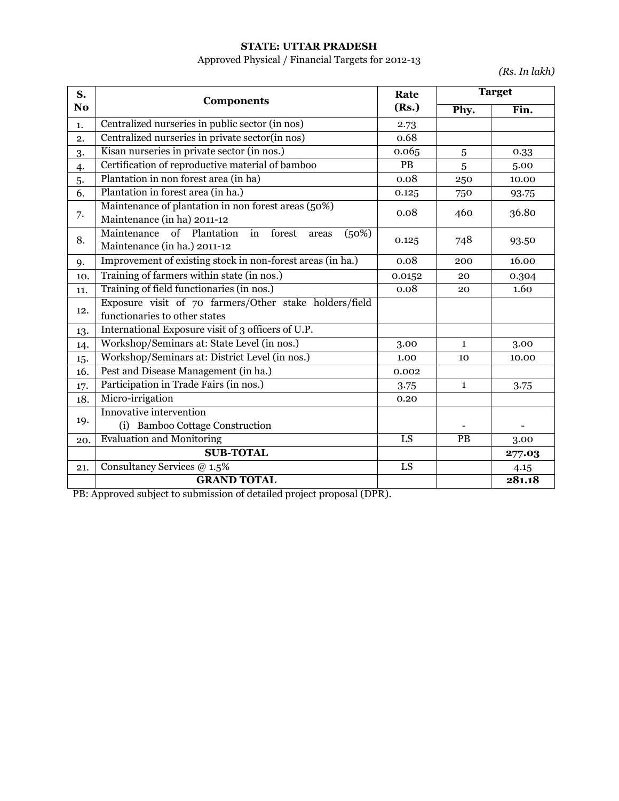### **STATE: UTTAR PRADESH**

# Approved Physical / Financial Targets for 2012-13

*(Rs. In lakh)*

| S.             |                                                                                          | Rate            | <b>Target</b> |        |
|----------------|------------------------------------------------------------------------------------------|-----------------|---------------|--------|
| N <sub>o</sub> | <b>Components</b>                                                                        | (Rs.)           | Phy.          | Fin.   |
| 1.             | Centralized nurseries in public sector (in nos)                                          | 2.73            |               |        |
| 2.             | Centralized nurseries in private sector(in nos)                                          | 0.68            |               |        |
| 3.             | Kisan nurseries in private sector (in nos.)                                              | 0.065           | 5             | 0.33   |
| $\ddot{4}$     | Certification of reproductive material of bamboo                                         | PB              | 5             | 5.00   |
| 5.             | Plantation in non forest area (in ha)                                                    | 0.08            | 250           | 10.00  |
| 6.             | Plantation in forest area (in ha.)                                                       | 0.125           | 750           | 93.75  |
| 7.             | Maintenance of plantation in non forest areas (50%)<br>Maintenance (in ha) 2011-12       | 0.08            | 460           | 36.80  |
| 8.             | Maintenance of Plantation in<br>forest<br>(50%)<br>areas<br>Maintenance (in ha.) 2011-12 | 0.125           | 748           | 93.50  |
| 9.             | Improvement of existing stock in non-forest areas (in ha.)                               | 0.08            | 200           | 16.00  |
| 10.            | Training of farmers within state (in nos.)                                               | 0.0152          | 20            | 0.304  |
| 11.            | Training of field functionaries (in nos.)                                                | 0.08            | 20            | 1.60   |
| 12.            | Exposure visit of 70 farmers/Other stake holders/field<br>functionaries to other states  |                 |               |        |
| 13.            | International Exposure visit of 3 officers of U.P.                                       |                 |               |        |
| 14.            | Workshop/Seminars at: State Level (in nos.)                                              | 3.00            | $\mathbf{1}$  | 3.00   |
| 15.            | Workshop/Seminars at: District Level (in nos.)                                           | 1.00            | 10            | 10.00  |
| 16.            | Pest and Disease Management (in ha.)                                                     | 0.002           |               |        |
| 17.            | Participation in Trade Fairs (in nos.)                                                   | 3.75            | $\mathbf{1}$  | 3.75   |
| 18.            | Micro-irrigation                                                                         | 0.20            |               |        |
| 19.            | Innovative intervention<br>(i) Bamboo Cottage Construction                               |                 |               |        |
| 20.            | <b>Evaluation and Monitoring</b>                                                         | LS              | PB            | 3.00   |
|                | <b>SUB-TOTAL</b>                                                                         |                 |               | 277.03 |
| 21.            | Consultancy Services @ 1.5%                                                              | $\overline{LS}$ |               | 4.15   |
|                | <b>GRAND TOTAL</b>                                                                       |                 |               | 281.18 |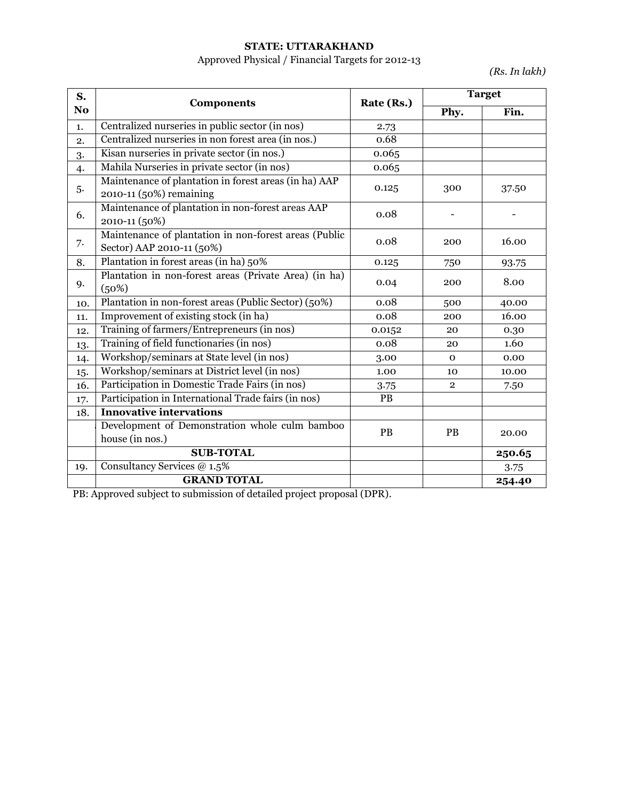### **STATE: UTTARAKHAND**

# Approved Physical / Financial Targets for 2012-13

*(Rs. In lakh)*

| S.  | <b>Components</b>                                                                  | Rate (Rs.) | <b>Target</b>  |        |
|-----|------------------------------------------------------------------------------------|------------|----------------|--------|
| No  |                                                                                    |            | Phy.           | Fin.   |
| 1.  | Centralized nurseries in public sector (in nos)                                    | 2.73       |                |        |
| 2.  | Centralized nurseries in non forest area (in nos.)                                 | 0.68       |                |        |
| 3.  | Kisan nurseries in private sector (in nos.)                                        | 0.065      |                |        |
| 4.  | Mahila Nurseries in private sector (in nos)                                        | 0.065      |                |        |
| 5.  | Maintenance of plantation in forest areas (in ha) AAP<br>2010-11 (50%) remaining   | 0.125      | 300            | 37.50  |
| 6.  | Maintenance of plantation in non-forest areas AAP<br>2010-11 (50%)                 | 0.08       |                |        |
| 7.  | Maintenance of plantation in non-forest areas (Public<br>Sector) AAP 2010-11 (50%) | 0.08       | 200            | 16.00  |
| 8.  | Plantation in forest areas (in ha) 50%                                             | 0.125      | 750            | 93.75  |
| 9.  | Plantation in non-forest areas (Private Area) (in ha)<br>(50%)                     | 0.04       | 200            | 8.00   |
| 10. | Plantation in non-forest areas (Public Sector) (50%)                               | 0.08       | 500            | 40.00  |
| 11. | Improvement of existing stock (in ha)                                              | 0.08       | 200            | 16.00  |
| 12. | Training of farmers/Entrepreneurs (in nos)                                         | 0.0152     | 20             | 0.30   |
| 13. | Training of field functionaries (in nos)                                           | 0.08       | 20             | 1.60   |
| 14. | Workshop/seminars at State level (in nos)                                          | 3.00       | $\mathbf{O}$   | 0.00   |
| 15. | Workshop/seminars at District level (in nos)                                       | 1.00       | 10             | 10.00  |
| 16. | Participation in Domestic Trade Fairs (in nos)                                     | 3.75       | $\overline{2}$ | 7.50   |
| 17. | Participation in International Trade fairs (in nos)                                | PB         |                |        |
| 18. | <b>Innovative intervations</b>                                                     |            |                |        |
|     | Development of Demonstration whole culm bamboo<br>house (in nos.)                  | PB         | <b>PB</b>      | 20.00  |
|     | <b>SUB-TOTAL</b>                                                                   |            |                | 250.65 |
| 19. | Consultancy Services @ 1.5%                                                        |            |                | 3.75   |
|     | <b>GRAND TOTAL</b>                                                                 |            |                | 254.40 |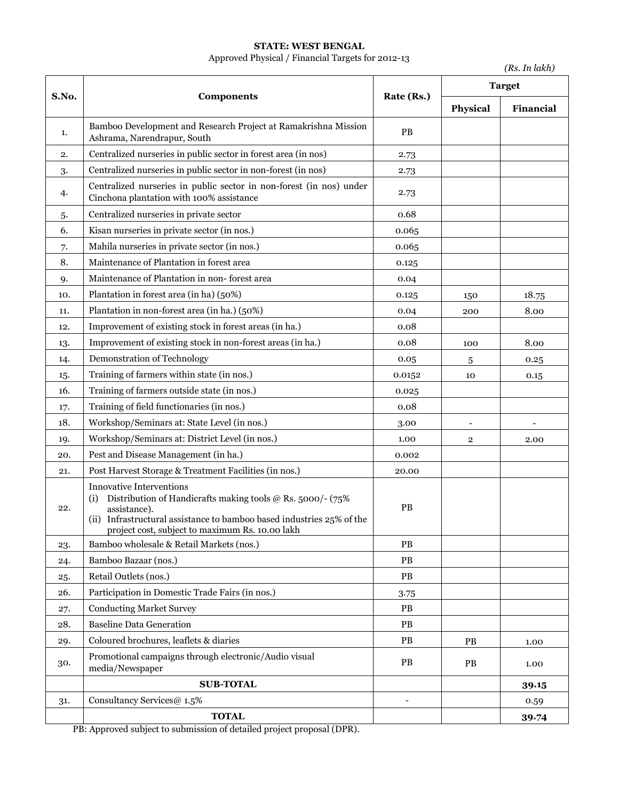#### **STATE: WEST BENGAL**

# Approved Physical / Financial Targets for 2012-13

*(Rs. In lakh)*

| S.No. |                                                                                                                                                                                                                                                  | Rate (Rs.)    | <b>Target</b> |           |
|-------|--------------------------------------------------------------------------------------------------------------------------------------------------------------------------------------------------------------------------------------------------|---------------|---------------|-----------|
|       | <b>Components</b>                                                                                                                                                                                                                                |               | Physical      | Financial |
| 1.    | Bamboo Development and Research Project at Ramakrishna Mission<br>Ashrama, Narendrapur, South                                                                                                                                                    | PB            |               |           |
| 2.    | Centralized nurseries in public sector in forest area (in nos)                                                                                                                                                                                   | 2.73          |               |           |
| 3.    | Centralized nurseries in public sector in non-forest (in nos)                                                                                                                                                                                    | 2.73          |               |           |
| 4.    | Centralized nurseries in public sector in non-forest (in nos) under<br>Cinchona plantation with 100% assistance                                                                                                                                  | 2.73          |               |           |
| 5.    | Centralized nurseries in private sector                                                                                                                                                                                                          | 0.68          |               |           |
| 6.    | Kisan nurseries in private sector (in nos.)                                                                                                                                                                                                      | 0.065         |               |           |
| 7.    | Mahila nurseries in private sector (in nos.)                                                                                                                                                                                                     | 0.065         |               |           |
| 8.    | Maintenance of Plantation in forest area                                                                                                                                                                                                         | 0.125         |               |           |
| 9.    | Maintenance of Plantation in non-forest area                                                                                                                                                                                                     | 0.04          |               |           |
| 10.   | Plantation in forest area (in ha) (50%)                                                                                                                                                                                                          | 0.125         | 150           | 18.75     |
| 11.   | Plantation in non-forest area (in ha.) (50%)                                                                                                                                                                                                     | 0.04          | 200           | 8.00      |
| 12.   | Improvement of existing stock in forest areas (in ha.)                                                                                                                                                                                           | 0.08          |               |           |
| 13.   | Improvement of existing stock in non-forest areas (in ha.)                                                                                                                                                                                       | 0.08          | 100           | 8.00      |
| 14.   | Demonstration of Technology                                                                                                                                                                                                                      | 0.05          | 5             | 0.25      |
| 15.   | Training of farmers within state (in nos.)                                                                                                                                                                                                       | 0.0152        | 10            | 0.15      |
| 16.   | Training of farmers outside state (in nos.)                                                                                                                                                                                                      | 0.025         |               |           |
| 17.   | Training of field functionaries (in nos.)                                                                                                                                                                                                        | 0.08          |               |           |
| 18.   | Workshop/Seminars at: State Level (in nos.)                                                                                                                                                                                                      | 3.00          |               |           |
| 19.   | Workshop/Seminars at: District Level (in nos.)                                                                                                                                                                                                   | 1.00          | $\mathbf 2$   | 2.00      |
| 20.   | Pest and Disease Management (in ha.)                                                                                                                                                                                                             | 0.002         |               |           |
| 21.   | Post Harvest Storage & Treatment Facilities (in nos.)                                                                                                                                                                                            | 20.00         |               |           |
| 22.   | <b>Innovative Interventions</b><br>Distribution of Handicrafts making tools @ Rs. 5000/- (75%<br>(i)<br>assistance).<br>(ii) Infrastructural assistance to bamboo based industries 25% of the<br>project cost, subject to maximum Rs. 10.00 lakh | PB            |               |           |
| 23.   | Bamboo wholesale & Retail Markets (nos.)                                                                                                                                                                                                         | <b>PB</b>     |               |           |
| 24.   | Bamboo Bazaar (nos.)                                                                                                                                                                                                                             | PB            |               |           |
| 25.   | Retail Outlets (nos.)                                                                                                                                                                                                                            | $\mathbf{PB}$ |               |           |
| 26.   | Participation in Domestic Trade Fairs (in nos.)                                                                                                                                                                                                  | 3.75          |               |           |
| 27.   | <b>Conducting Market Survey</b>                                                                                                                                                                                                                  | PB            |               |           |
| 28.   | <b>Baseline Data Generation</b>                                                                                                                                                                                                                  | $\mathbf{PB}$ |               |           |
| 29.   | Coloured brochures, leaflets & diaries                                                                                                                                                                                                           | PB            | <b>PB</b>     | 1.00      |
| 30.   | Promotional campaigns through electronic/Audio visual<br>media/Newspaper                                                                                                                                                                         | PB            | <b>PB</b>     | 1.00      |
|       | <b>SUB-TOTAL</b>                                                                                                                                                                                                                                 |               |               | 39.15     |
| 31.   | Consultancy Services@ 1.5%                                                                                                                                                                                                                       | -             |               | 0.59      |
|       | <b>TOTAL</b>                                                                                                                                                                                                                                     |               |               | 39.74     |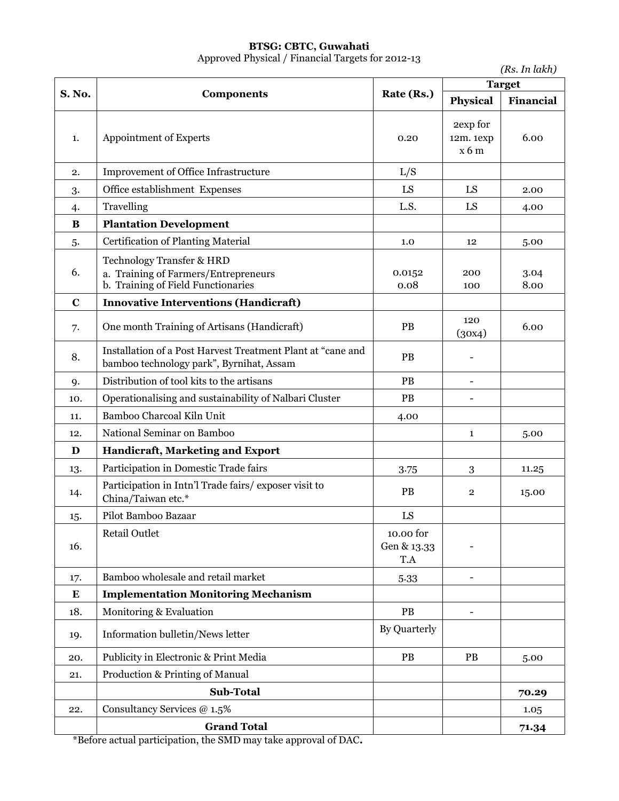# **BTSG: CBTC, Guwahati**

Approved Physical / Financial Targets for 2012-13

|             |                                                                                                         |                                 |                              | (Rs. In lakh) |  |
|-------------|---------------------------------------------------------------------------------------------------------|---------------------------------|------------------------------|---------------|--|
| S. No.      | <b>Components</b>                                                                                       | Rate (Rs.)                      | <b>Target</b>                |               |  |
|             |                                                                                                         |                                 | <b>Physical</b>              | Financial     |  |
| 1.          | Appointment of Experts                                                                                  | 0.20                            | 2exp for<br>12m. 1exp<br>x6m | 6.00          |  |
| 2.          | Improvement of Office Infrastructure                                                                    | L/S                             |                              |               |  |
| 3.          | Office establishment Expenses                                                                           | LS                              | LS                           | 2.00          |  |
| 4.          | Travelling                                                                                              | L.S.                            | LS                           | 4.00          |  |
| B           | <b>Plantation Development</b>                                                                           |                                 |                              |               |  |
| 5.          | <b>Certification of Planting Material</b>                                                               | 1.0                             | 12                           | 5.00          |  |
| 6.          | Technology Transfer & HRD<br>a. Training of Farmers/Entrepreneurs<br>b. Training of Field Functionaries | 0.0152<br>0.08                  | 200<br>100                   | 3.04<br>8.00  |  |
| $\mathbf C$ | <b>Innovative Interventions (Handicraft)</b>                                                            |                                 |                              |               |  |
| 7.          | One month Training of Artisans (Handicraft)                                                             | PB                              | 120<br>(30x4)                | 6.00          |  |
| 8.          | Installation of a Post Harvest Treatment Plant at "cane and<br>bamboo technology park", Byrnihat, Assam | PB                              |                              |               |  |
| 9.          | Distribution of tool kits to the artisans                                                               | PB                              | $\blacksquare$               |               |  |
| 10.         | Operationalising and sustainability of Nalbari Cluster                                                  | PB                              |                              |               |  |
| 11.         | Bamboo Charcoal Kiln Unit                                                                               | 4.00                            |                              |               |  |
| 12.         | National Seminar on Bamboo                                                                              |                                 | 1                            | 5.00          |  |
| D           | Handicraft, Marketing and Export                                                                        |                                 |                              |               |  |
| 13.         | Participation in Domestic Trade fairs                                                                   | 3.75                            | 3                            | 11.25         |  |
| 14.         | Participation in Intn'l Trade fairs/exposer visit to<br>China/Taiwan etc.*                              | PB                              | $\mathbf{2}$                 | 15.00         |  |
| 15.         | Pilot Bamboo Bazaar                                                                                     | LS                              |                              |               |  |
| 16.         | <b>Retail Outlet</b>                                                                                    | 10.00 for<br>Gen & 13.33<br>T.A |                              |               |  |
| 17.         | Bamboo wholesale and retail market                                                                      | 5.33                            |                              |               |  |
| ${\bf E}$   | <b>Implementation Monitoring Mechanism</b>                                                              |                                 |                              |               |  |
| 18.         | Monitoring & Evaluation                                                                                 | PB                              |                              |               |  |
| 19.         | Information bulletin/News letter                                                                        | By Quarterly                    |                              |               |  |
| 20.         | Publicity in Electronic & Print Media                                                                   | PB                              | PB                           | 5.00          |  |
| 21.         | Production & Printing of Manual                                                                         |                                 |                              |               |  |
|             | Sub-Total                                                                                               |                                 |                              | 70.29         |  |
| 22.         | Consultancy Services @ 1.5%                                                                             |                                 |                              | 1.05          |  |
|             | <b>Grand Total</b>                                                                                      |                                 |                              | 71.34         |  |

\*Before actual participation, the SMD may take approval of DAC**.**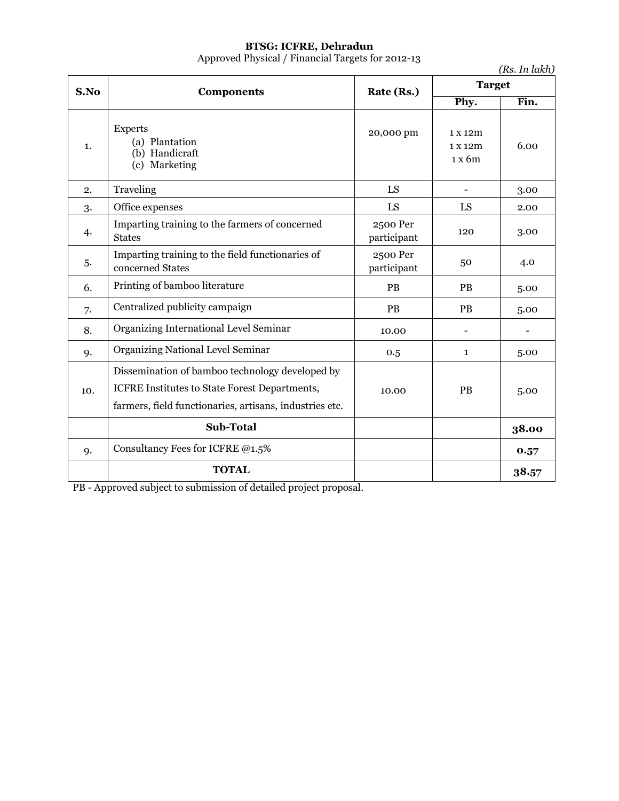### **BTSG: ICFRE, Dehradun**

Approved Physical / Financial Targets for 2012-13

*(Rs. In lakh)*

| S.No      | <b>Components</b>                                                                                                                                           | Rate (Rs.)              | <b>Target</b>                |       |
|-----------|-------------------------------------------------------------------------------------------------------------------------------------------------------------|-------------------------|------------------------------|-------|
|           |                                                                                                                                                             |                         | Phy.                         | Fin.  |
| 1.        | <b>Experts</b><br>(a) Plantation<br>(b) Handicraft<br>(c) Marketing                                                                                         | 20,000 pm               | 1 x 12m<br>1 x 12m<br>1 x 6m | 6.00  |
| 2.        | Traveling                                                                                                                                                   | LS                      |                              | 3.00  |
| 3.        | Office expenses                                                                                                                                             | LS                      | LS                           | 2.00  |
| 4.        | Imparting training to the farmers of concerned<br><b>States</b>                                                                                             | 2500 Per<br>participant | 120                          | 3.00  |
| 5.        | Imparting training to the field functionaries of<br>concerned States                                                                                        | 2500 Per<br>participant | 50                           | 4.0   |
| 6.        | Printing of bamboo literature                                                                                                                               | PB                      | <b>PB</b>                    | 5.00  |
| 7.        | Centralized publicity campaign                                                                                                                              | PB                      | <b>PB</b>                    | 5.00  |
| 8.        | Organizing International Level Seminar                                                                                                                      | 10.00                   |                              |       |
| 9.        | <b>Organizing National Level Seminar</b>                                                                                                                    | 0.5                     | $\mathbf{1}$                 | 5.00  |
| 10.       | Dissemination of bamboo technology developed by<br>ICFRE Institutes to State Forest Departments,<br>farmers, field functionaries, artisans, industries etc. | 10.00                   | PB                           | 5.00  |
|           | Sub-Total                                                                                                                                                   |                         |                              | 38.00 |
| <b>9.</b> | Consultancy Fees for ICFRE @1.5%                                                                                                                            |                         |                              | 0.57  |
|           | <b>TOTAL</b>                                                                                                                                                |                         |                              | 38.57 |